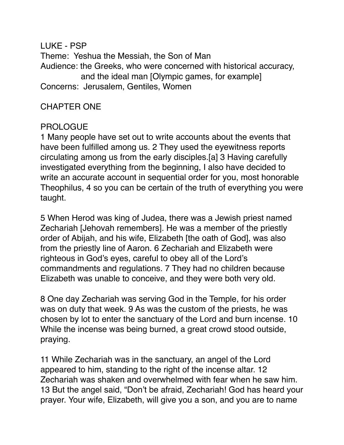LUKE - PSP Theme: Yeshua the Messiah, the Son of Man Audience: the Greeks, who were concerned with historical accuracy, and the ideal man [Olympic games, for example] Concerns: Jerusalem, Gentiles, Women

## CHAPTER ONE

### PROLOGUE

1 Many people have set out to write accounts about the events that have been fulfilled among us. 2 They used the eyewitness reports circulating among us from the early disciples.[a] 3 Having carefully investigated everything from the beginning, I also have decided to write an accurate account in sequential order for you, most honorable Theophilus, 4 so you can be certain of the truth of everything you were taught.

5 When Herod was king of Judea, there was a Jewish priest named Zechariah [Jehovah remembers]. He was a member of the priestly order of Abijah, and his wife, Elizabeth [the oath of God], was also from the priestly line of Aaron. 6 Zechariah and Elizabeth were righteous in God's eyes, careful to obey all of the Lord's commandments and regulations. 7 They had no children because Elizabeth was unable to conceive, and they were both very old.

8 One day Zechariah was serving God in the Temple, for his order was on duty that week. 9 As was the custom of the priests, he was chosen by lot to enter the sanctuary of the Lord and burn incense. 10 While the incense was being burned, a great crowd stood outside, praying.

11 While Zechariah was in the sanctuary, an angel of the Lord appeared to him, standing to the right of the incense altar. 12 Zechariah was shaken and overwhelmed with fear when he saw him. 13 But the angel said, "Don't be afraid, Zechariah! God has heard your prayer. Your wife, Elizabeth, will give you a son, and you are to name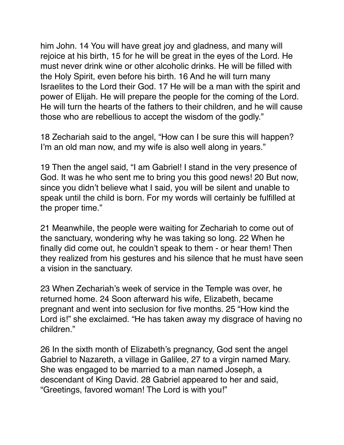him John. 14 You will have great joy and gladness, and many will rejoice at his birth, 15 for he will be great in the eyes of the Lord. He must never drink wine or other alcoholic drinks. He will be filled with the Holy Spirit, even before his birth. 16 And he will turn many Israelites to the Lord their God. 17 He will be a man with the spirit and power of Elijah. He will prepare the people for the coming of the Lord. He will turn the hearts of the fathers to their children, and he will cause those who are rebellious to accept the wisdom of the godly."

18 Zechariah said to the angel, "How can I be sure this will happen? I'm an old man now, and my wife is also well along in years."

19 Then the angel said, "I am Gabriel! I stand in the very presence of God. It was he who sent me to bring you this good news! 20 But now, since you didn't believe what I said, you will be silent and unable to speak until the child is born. For my words will certainly be fulfilled at the proper time."

21 Meanwhile, the people were waiting for Zechariah to come out of the sanctuary, wondering why he was taking so long. 22 When he finally did come out, he couldn't speak to them - or hear them! Then they realized from his gestures and his silence that he must have seen a vision in the sanctuary.

23 When Zechariah's week of service in the Temple was over, he returned home. 24 Soon afterward his wife, Elizabeth, became pregnant and went into seclusion for five months. 25 "How kind the Lord is!" she exclaimed. "He has taken away my disgrace of having no children."

26 In the sixth month of Elizabeth's pregnancy, God sent the angel Gabriel to Nazareth, a village in Galilee, 27 to a virgin named Mary. She was engaged to be married to a man named Joseph, a descendant of King David. 28 Gabriel appeared to her and said, "Greetings, favored woman! The Lord is with you!"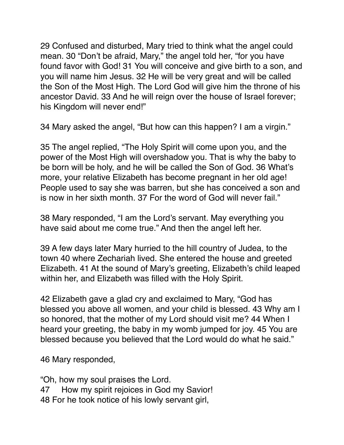29 Confused and disturbed, Mary tried to think what the angel could mean. 30 "Don't be afraid, Mary," the angel told her, "for you have found favor with God! 31 You will conceive and give birth to a son, and you will name him Jesus. 32 He will be very great and will be called the Son of the Most High. The Lord God will give him the throne of his ancestor David. 33 And he will reign over the house of Israel forever; his Kingdom will never end!"

34 Mary asked the angel, "But how can this happen? I am a virgin."

35 The angel replied, "The Holy Spirit will come upon you, and the power of the Most High will overshadow you. That is why the baby to be born will be holy, and he will be called the Son of God. 36 What's more, your relative Elizabeth has become pregnant in her old age! People used to say she was barren, but she has conceived a son and is now in her sixth month. 37 For the word of God will never fail."

38 Mary responded, "I am the Lord's servant. May everything you have said about me come true." And then the angel left her.

39 A few days later Mary hurried to the hill country of Judea, to the town 40 where Zechariah lived. She entered the house and greeted Elizabeth. 41 At the sound of Mary's greeting, Elizabeth's child leaped within her, and Elizabeth was filled with the Holy Spirit.

42 Elizabeth gave a glad cry and exclaimed to Mary, "God has blessed you above all women, and your child is blessed. 43 Why am I so honored, that the mother of my Lord should visit me? 44 When I heard your greeting, the baby in my womb jumped for joy. 45 You are blessed because you believed that the Lord would do what he said."

46 Mary responded,

"Oh, how my soul praises the Lord. 47 How my spirit rejoices in God my Savior! 48 For he took notice of his lowly servant girl,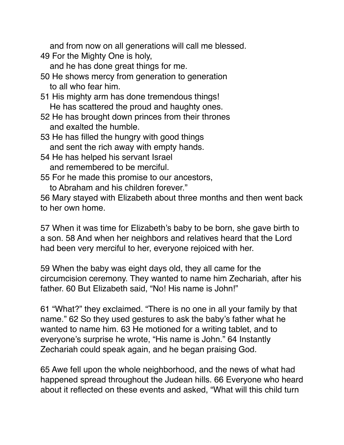and from now on all generations will call me blessed. 49 For the Mighty One is holy,

and he has done great things for me.

- 50 He shows mercy from generation to generation to all who fear him.
- 51 His mighty arm has done tremendous things! He has scattered the proud and haughty ones.
- 52 He has brought down princes from their thrones and exalted the humble.
- 53 He has filled the hungry with good things and sent the rich away with empty hands.
- 54 He has helped his servant Israel
	- and remembered to be merciful.
- 55 For he made this promise to our ancestors,
	- to Abraham and his children forever."

56 Mary stayed with Elizabeth about three months and then went back to her own home.

57 When it was time for Elizabeth's baby to be born, she gave birth to a son. 58 And when her neighbors and relatives heard that the Lord had been very merciful to her, everyone rejoiced with her.

59 When the baby was eight days old, they all came for the circumcision ceremony. They wanted to name him Zechariah, after his father. 60 But Elizabeth said, "No! His name is John!"

61 "What?" they exclaimed. "There is no one in all your family by that name." 62 So they used gestures to ask the baby's father what he wanted to name him. 63 He motioned for a writing tablet, and to everyone's surprise he wrote, "His name is John." 64 Instantly Zechariah could speak again, and he began praising God.

65 Awe fell upon the whole neighborhood, and the news of what had happened spread throughout the Judean hills. 66 Everyone who heard about it reflected on these events and asked, "What will this child turn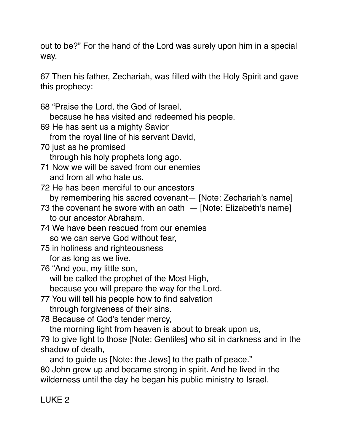out to be?" For the hand of the Lord was surely upon him in a special way.

67 Then his father, Zechariah, was filled with the Holy Spirit and gave this prophecy:

68 "Praise the Lord, the God of Israel,

because he has visited and redeemed his people.

69 He has sent us a mighty Savior

from the royal line of his servant David,

70 just as he promised

through his holy prophets long ago.

71 Now we will be saved from our enemies and from all who hate us.

72 He has been merciful to our ancestors

by remembering his sacred covenant— [Note: Zechariah's name]

73 the covenant he swore with an oath  $-$  [Note: Elizabeth's name] to our ancestor Abraham.

74 We have been rescued from our enemies

so we can serve God without fear,

75 in holiness and righteousness

for as long as we live.

76 "And you, my little son,

will be called the prophet of the Most High,

because you will prepare the way for the Lord.

77 You will tell his people how to find salvation through forgiveness of their sins.

78 Because of God's tender mercy,

the morning light from heaven is about to break upon us,

79 to give light to those [Note: Gentiles] who sit in darkness and in the shadow of death,

 and to guide us [Note: the Jews] to the path of peace." 80 John grew up and became strong in spirit. And he lived in the wilderness until the day he began his public ministry to Israel.

# LUKE 2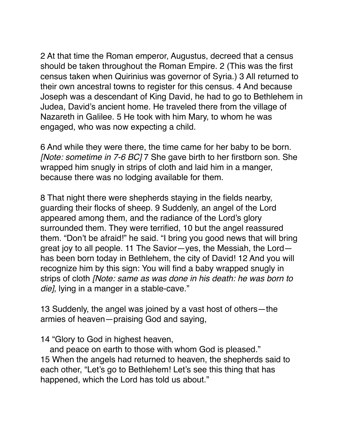2 At that time the Roman emperor, Augustus, decreed that a census should be taken throughout the Roman Empire. 2 (This was the first census taken when Quirinius was governor of Syria.) 3 All returned to their own ancestral towns to register for this census. 4 And because Joseph was a descendant of King David, he had to go to Bethlehem in Judea, David's ancient home. He traveled there from the village of Nazareth in Galilee. 5 He took with him Mary, to whom he was engaged, who was now expecting a child.

6 And while they were there, the time came for her baby to be born. *[Note: sometime in 7-6 BC]* 7 She gave birth to her firstborn son. She wrapped him snugly in strips of cloth and laid him in a manger, because there was no lodging available for them.

8 That night there were shepherds staying in the fields nearby, guarding their flocks of sheep. 9 Suddenly, an angel of the Lord appeared among them, and the radiance of the Lord's glory surrounded them. They were terrified, 10 but the angel reassured them. "Don't be afraid!" he said. "I bring you good news that will bring great joy to all people. 11 The Savior—yes, the Messiah, the Lord has been born today in Bethlehem, the city of David! 12 And you will recognize him by this sign: You will find a baby wrapped snugly in strips of cloth *[Note: same as was done in his death: he was born to die]*, lying in a manger in a stable-cave."

13 Suddenly, the angel was joined by a vast host of others—the armies of heaven—praising God and saying,

14 "Glory to God in highest heaven,

 and peace on earth to those with whom God is pleased." 15 When the angels had returned to heaven, the shepherds said to each other, "Let's go to Bethlehem! Let's see this thing that has happened, which the Lord has told us about."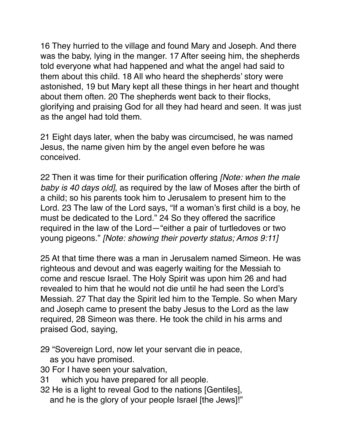16 They hurried to the village and found Mary and Joseph. And there was the baby, lying in the manger. 17 After seeing him, the shepherds told everyone what had happened and what the angel had said to them about this child. 18 All who heard the shepherds' story were astonished, 19 but Mary kept all these things in her heart and thought about them often. 20 The shepherds went back to their flocks, glorifying and praising God for all they had heard and seen. It was just as the angel had told them.

21 Eight days later, when the baby was circumcised, he was named Jesus, the name given him by the angel even before he was conceived.

22 Then it was time for their purification offering *[Note: when the male baby is 40 days old]*, as required by the law of Moses after the birth of a child; so his parents took him to Jerusalem to present him to the Lord. 23 The law of the Lord says, "If a woman's first child is a boy, he must be dedicated to the Lord." 24 So they offered the sacrifice required in the law of the Lord—"either a pair of turtledoves or two young pigeons." *[Note: showing their poverty status; Amos 9:11]*

25 At that time there was a man in Jerusalem named Simeon. He was righteous and devout and was eagerly waiting for the Messiah to come and rescue Israel. The Holy Spirit was upon him 26 and had revealed to him that he would not die until he had seen the Lord's Messiah. 27 That day the Spirit led him to the Temple. So when Mary and Joseph came to present the baby Jesus to the Lord as the law required, 28 Simeon was there. He took the child in his arms and praised God, saying,

29 "Sovereign Lord, now let your servant die in peace,

as you have promised.

- 30 For I have seen your salvation,
- 31 which you have prepared for all people.
- 32 He is a light to reveal God to the nations [Gentiles], and he is the glory of your people Israel [the Jews]!"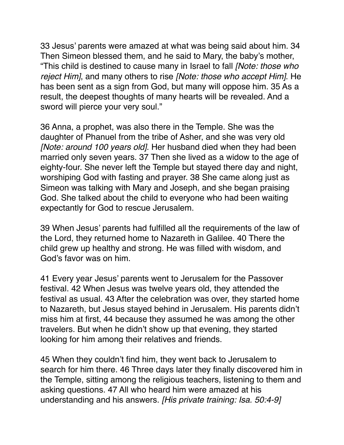33 Jesus' parents were amazed at what was being said about him. 34 Then Simeon blessed them, and he said to Mary, the baby's mother, "This child is destined to cause many in Israel to fall *[Note: those who reject Him]*, and many others to rise *[Note: those who accept Him]*. He has been sent as a sign from God, but many will oppose him. 35 As a result, the deepest thoughts of many hearts will be revealed. And a sword will pierce your very soul."

36 Anna, a prophet, was also there in the Temple. She was the daughter of Phanuel from the tribe of Asher, and she was very old *[Note: around 100 years old]*. Her husband died when they had been married only seven years. 37 Then she lived as a widow to the age of eighty-four. She never left the Temple but stayed there day and night, worshiping God with fasting and prayer. 38 She came along just as Simeon was talking with Mary and Joseph, and she began praising God. She talked about the child to everyone who had been waiting expectantly for God to rescue Jerusalem.

39 When Jesus' parents had fulfilled all the requirements of the law of the Lord, they returned home to Nazareth in Galilee. 40 There the child grew up healthy and strong. He was filled with wisdom, and God's favor was on him.

41 Every year Jesus' parents went to Jerusalem for the Passover festival. 42 When Jesus was twelve years old, they attended the festival as usual. 43 After the celebration was over, they started home to Nazareth, but Jesus stayed behind in Jerusalem. His parents didn't miss him at first, 44 because they assumed he was among the other travelers. But when he didn't show up that evening, they started looking for him among their relatives and friends.

45 When they couldn't find him, they went back to Jerusalem to search for him there. 46 Three days later they finally discovered him in the Temple, sitting among the religious teachers, listening to them and asking questions. 47 All who heard him were amazed at his understanding and his answers. *[His private training: Isa. 50:4-9]*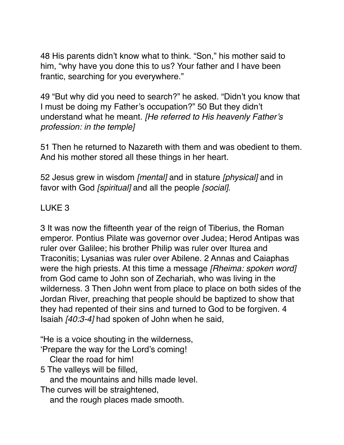48 His parents didn't know what to think. "Son," his mother said to him, "why have you done this to us? Your father and I have been frantic, searching for you everywhere."

49 "But why did you need to search?" he asked. "Didn't you know that I must be doing my Father's occupation?" 50 But they didn't understand what he meant. *[He referred to His heavenly Father's profession: in the temple]*

51 Then he returned to Nazareth with them and was obedient to them. And his mother stored all these things in her heart.

52 Jesus grew in wisdom *[mental]* and in stature *[physical]* and in favor with God *[spiritual]* and all the people *[social]*.

# LUKE 3

3 It was now the fifteenth year of the reign of Tiberius, the Roman emperor. Pontius Pilate was governor over Judea; Herod Antipas was ruler over Galilee; his brother Philip was ruler over Iturea and Traconitis; Lysanias was ruler over Abilene. 2 Annas and Caiaphas were the high priests. At this time a message *[Rheima: spoken word]* from God came to John son of Zechariah, who was living in the wilderness. 3 Then John went from place to place on both sides of the Jordan River, preaching that people should be baptized to show that they had repented of their sins and turned to God to be forgiven. 4 Isaiah *[40:3-4]* had spoken of John when he said,

"He is a voice shouting in the wilderness,

'Prepare the way for the Lord's coming!

Clear the road for him!

5 The valleys will be filled,

and the mountains and hills made level.

The curves will be straightened,

and the rough places made smooth.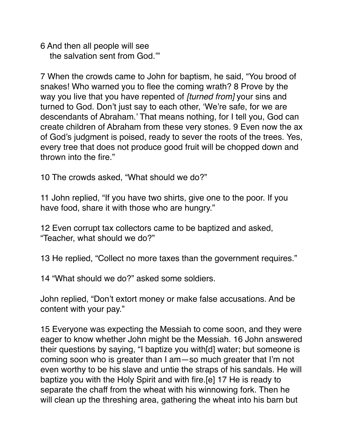6 And then all people will see the salvation sent from God.'"

7 When the crowds came to John for baptism, he said, "You brood of snakes! Who warned you to flee the coming wrath? 8 Prove by the way you live that you have repented of *[turned from]* your sins and turned to God. Don't just say to each other, 'We're safe, for we are descendants of Abraham.' That means nothing, for I tell you, God can create children of Abraham from these very stones. 9 Even now the ax of God's judgment is poised, ready to sever the roots of the trees. Yes, every tree that does not produce good fruit will be chopped down and thrown into the fire."

10 The crowds asked, "What should we do?"

11 John replied, "If you have two shirts, give one to the poor. If you have food, share it with those who are hungry."

12 Even corrupt tax collectors came to be baptized and asked, "Teacher, what should we do?"

13 He replied, "Collect no more taxes than the government requires."

14 "What should we do?" asked some soldiers.

John replied, "Don't extort money or make false accusations. And be content with your pay."

15 Everyone was expecting the Messiah to come soon, and they were eager to know whether John might be the Messiah. 16 John answered their questions by saying, "I baptize you with[d] water; but someone is coming soon who is greater than I am—so much greater that I'm not even worthy to be his slave and untie the straps of his sandals. He will baptize you with the Holy Spirit and with fire.[e] 17 He is ready to separate the chaff from the wheat with his winnowing fork. Then he will clean up the threshing area, gathering the wheat into his barn but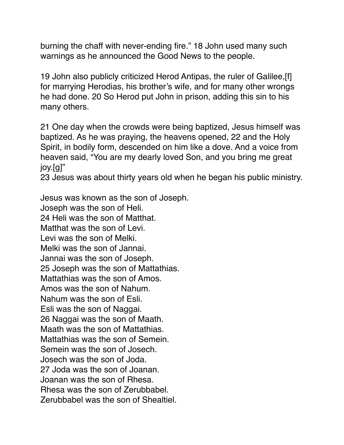burning the chaff with never-ending fire." 18 John used many such warnings as he announced the Good News to the people.

19 John also publicly criticized Herod Antipas, the ruler of Galilee,[f] for marrying Herodias, his brother's wife, and for many other wrongs he had done. 20 So Herod put John in prison, adding this sin to his many others.

21 One day when the crowds were being baptized, Jesus himself was baptized. As he was praying, the heavens opened, 22 and the Holy Spirit, in bodily form, descended on him like a dove. And a voice from heaven said, "You are my dearly loved Son, and you bring me great joy.[g]"

23 Jesus was about thirty years old when he began his public ministry.

Jesus was known as the son of Joseph. Joseph was the son of Heli. 24 Heli was the son of Matthat. Matthat was the son of Levi. Levi was the son of Melki. Melki was the son of Jannai. Jannai was the son of Joseph. 25 Joseph was the son of Mattathias. Mattathias was the son of Amos. Amos was the son of Nahum. Nahum was the son of Esli. Esli was the son of Naggai. 26 Naggai was the son of Maath. Maath was the son of Mattathias. Mattathias was the son of Semein. Semein was the son of Josech. Josech was the son of Joda. 27 Joda was the son of Joanan. Joanan was the son of Rhesa. Rhesa was the son of Zerubbabel. Zerubbabel was the son of Shealtiel.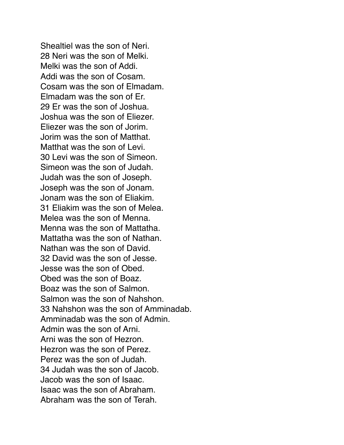Shealtiel was the son of Neri. 28 Neri was the son of Melki. Melki was the son of Addi. Addi was the son of Cosam. Cosam was the son of Elmadam. Elmadam was the son of Er. 29 Er was the son of Joshua. Joshua was the son of Eliezer. Eliezer was the son of Jorim. Jorim was the son of Matthat. Matthat was the son of Levi. 30 Levi was the son of Simeon. Simeon was the son of Judah. Judah was the son of Joseph. Joseph was the son of Jonam. Jonam was the son of Eliakim. 31 Eliakim was the son of Melea. Melea was the son of Menna. Menna was the son of Mattatha. Mattatha was the son of Nathan. Nathan was the son of David. 32 David was the son of Jesse. Jesse was the son of Obed. Obed was the son of Boaz. Boaz was the son of Salmon. Salmon was the son of Nahshon. 33 Nahshon was the son of Amminadab. Amminadab was the son of Admin. Admin was the son of Arni. Arni was the son of Hezron. Hezron was the son of Perez. Perez was the son of Judah. 34 Judah was the son of Jacob. Jacob was the son of Isaac. Isaac was the son of Abraham. Abraham was the son of Terah.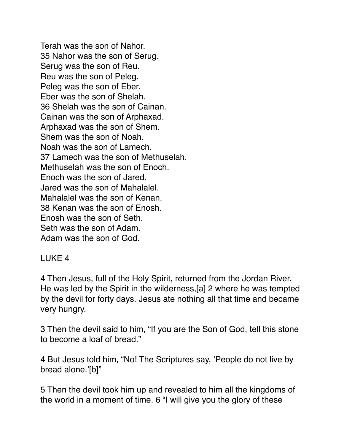Terah was the son of Nahor. 35 Nahor was the son of Serug. Serug was the son of Reu. Reu was the son of Peleg. Peleg was the son of Eber. Eber was the son of Shelah. 36 Shelah was the son of Cainan. Cainan was the son of Arphaxad. Arphaxad was the son of Shem. Shem was the son of Noah. Noah was the son of Lamech. 37 Lamech was the son of Methuselah. Methuselah was the son of Enoch. Enoch was the son of Jared. Jared was the son of Mahalalel. Mahalalel was the son of Kenan. 38 Kenan was the son of Enosh. Enosh was the son of Seth. Seth was the son of Adam. Adam was the son of God.

## LUKE 4

4 Then Jesus, full of the Holy Spirit, returned from the Jordan River. He was led by the Spirit in the wilderness,[a] 2 where he was tempted by the devil for forty days. Jesus ate nothing all that time and became very hungry.

3 Then the devil said to him, "If you are the Son of God, tell this stone to become a loaf of bread."

4 But Jesus told him, "No! The Scriptures say, 'People do not live by bread alone.'[b]"

5 Then the devil took him up and revealed to him all the kingdoms of the world in a moment of time. 6 "I will give you the glory of these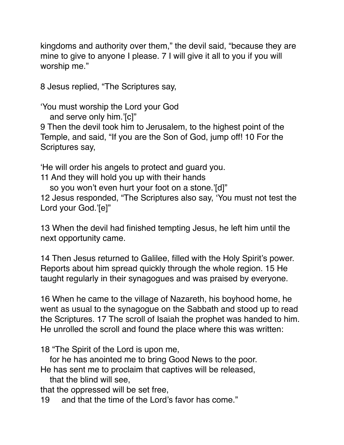kingdoms and authority over them," the devil said, "because they are mine to give to anyone I please. 7 I will give it all to you if you will worship me."

8 Jesus replied, "The Scriptures say,

'You must worship the Lord your God

and serve only him.'[c]"

9 Then the devil took him to Jerusalem, to the highest point of the Temple, and said, "If you are the Son of God, jump off! 10 For the Scriptures say,

'He will order his angels to protect and guard you.

11 And they will hold you up with their hands

so you won't even hurt your foot on a stone.'[d]"

12 Jesus responded, "The Scriptures also say, 'You must not test the Lord your God.'[e]"

13 When the devil had finished tempting Jesus, he left him until the next opportunity came.

14 Then Jesus returned to Galilee, filled with the Holy Spirit's power. Reports about him spread quickly through the whole region. 15 He taught regularly in their synagogues and was praised by everyone.

16 When he came to the village of Nazareth, his boyhood home, he went as usual to the synagogue on the Sabbath and stood up to read the Scriptures. 17 The scroll of Isaiah the prophet was handed to him. He unrolled the scroll and found the place where this was written:

18 "The Spirit of the Lord is upon me,

 for he has anointed me to bring Good News to the poor. He has sent me to proclaim that captives will be released,

that the blind will see,

that the oppressed will be set free,

19 and that the time of the Lord's favor has come."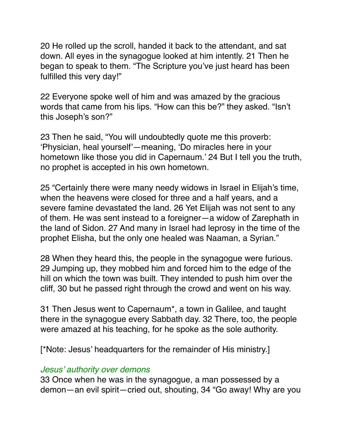20 He rolled up the scroll, handed it back to the attendant, and sat down. All eyes in the synagogue looked at him intently. 21 Then he began to speak to them. "The Scripture you've just heard has been fulfilled this very day!"

22 Everyone spoke well of him and was amazed by the gracious words that came from his lips. "How can this be?" they asked. "Isn't this Joseph's son?"

23 Then he said, "You will undoubtedly quote me this proverb: 'Physician, heal yourself'—meaning, 'Do miracles here in your hometown like those you did in Capernaum.' 24 But I tell you the truth, no prophet is accepted in his own hometown.

25 "Certainly there were many needy widows in Israel in Elijah's time, when the heavens were closed for three and a half years, and a severe famine devastated the land. 26 Yet Elijah was not sent to any of them. He was sent instead to a foreigner—a widow of Zarephath in the land of Sidon. 27 And many in Israel had leprosy in the time of the prophet Elisha, but the only one healed was Naaman, a Syrian."

28 When they heard this, the people in the synagogue were furious. 29 Jumping up, they mobbed him and forced him to the edge of the hill on which the town was built. They intended to push him over the cliff, 30 but he passed right through the crowd and went on his way.

31 Then Jesus went to Capernaum\*, a town in Galilee, and taught there in the synagogue every Sabbath day. 32 There, too, the people were amazed at his teaching, for he spoke as the sole authority.

[\*Note: Jesus' headquarters for the remainder of His ministry.]

#### *Jesus' authority over demons*

33 Once when he was in the synagogue, a man possessed by a demon—an evil spirit—cried out, shouting, 34 "Go away! Why are you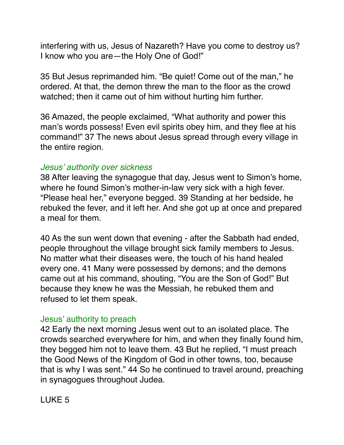interfering with us, Jesus of Nazareth? Have you come to destroy us? I know who you are—the Holy One of God!"

35 But Jesus reprimanded him. "Be quiet! Come out of the man," he ordered. At that, the demon threw the man to the floor as the crowd watched; then it came out of him without hurting him further.

36 Amazed, the people exclaimed, "What authority and power this man's words possess! Even evil spirits obey him, and they flee at his command!" 37 The news about Jesus spread through every village in the entire region.

#### *Jesus' authority over sickness*

38 After leaving the synagogue that day, Jesus went to Simon's home, where he found Simon's mother-in-law very sick with a high fever. "Please heal her," everyone begged. 39 Standing at her bedside, he rebuked the fever, and it left her. And she got up at once and prepared a meal for them.

40 As the sun went down that evening - after the Sabbath had ended, people throughout the village brought sick family members to Jesus. No matter what their diseases were, the touch of his hand healed every one. 41 Many were possessed by demons; and the demons came out at his command, shouting, "You are the Son of God!" But because they knew he was the Messiah, he rebuked them and refused to let them speak.

### Jesus' authority to preach

42 Early the next morning Jesus went out to an isolated place. The crowds searched everywhere for him, and when they finally found him, they begged him not to leave them. 43 But he replied, "I must preach the Good News of the Kingdom of God in other towns, too, because that is why I was sent." 44 So he continued to travel around, preaching in synagogues throughout Judea.

### LUKE 5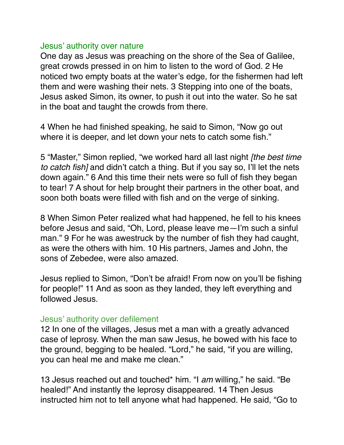#### Jesus' authority over nature

One day as Jesus was preaching on the shore of the Sea of Galilee, great crowds pressed in on him to listen to the word of God. 2 He noticed two empty boats at the water's edge, for the fishermen had left them and were washing their nets. 3 Stepping into one of the boats, Jesus asked Simon, its owner, to push it out into the water. So he sat in the boat and taught the crowds from there.

4 When he had finished speaking, he said to Simon, "Now go out where it is deeper, and let down your nets to catch some fish."

5 "Master," Simon replied, "we worked hard all last night *[the best time to catch fish]* and didn't catch a thing. But if you say so, I'll let the nets down again." 6 And this time their nets were so full of fish they began to tear! 7 A shout for help brought their partners in the other boat, and soon both boats were filled with fish and on the verge of sinking.

8 When Simon Peter realized what had happened, he fell to his knees before Jesus and said, "Oh, Lord, please leave me—I'm such a sinful man." 9 For he was awestruck by the number of fish they had caught, as were the others with him. 10 His partners, James and John, the sons of Zebedee, were also amazed.

Jesus replied to Simon, "Don't be afraid! From now on you'll be fishing for people!" 11 And as soon as they landed, they left everything and followed Jesus.

### Jesus' authority over defilement

12 In one of the villages, Jesus met a man with a greatly advanced case of leprosy. When the man saw Jesus, he bowed with his face to the ground, begging to be healed. "Lord," he said, "if you are willing, you can heal me and make me clean."

13 Jesus reached out and touched\* him. "I *am* willing," he said. "Be healed!" And instantly the leprosy disappeared. 14 Then Jesus instructed him not to tell anyone what had happened. He said, "Go to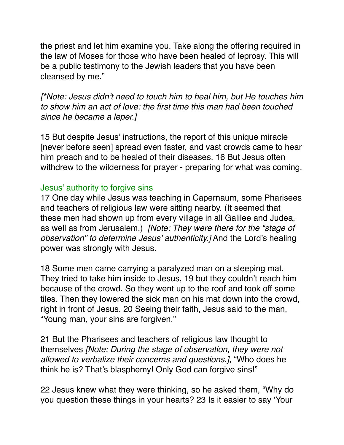the priest and let him examine you. Take along the offering required in the law of Moses for those who have been healed of leprosy. This will be a public testimony to the Jewish leaders that you have been cleansed by me."

*[\*Note: Jesus didn't need to touch him to heal him, but He touches him to show him an act of love: the first time this man had been touched since he became a leper.]*

15 But despite Jesus' instructions, the report of this unique miracle [never before seen] spread even faster, and vast crowds came to hear him preach and to be healed of their diseases. 16 But Jesus often withdrew to the wilderness for prayer - preparing for what was coming.

### Jesus' authority to forgive sins

17 One day while Jesus was teaching in Capernaum, some Pharisees and teachers of religious law were sitting nearby. (It seemed that these men had shown up from every village in all Galilee and Judea, as well as from Jerusalem.) *[Note: They were there for the "stage of observation" to determine Jesus' authenticity.]* And the Lord's healing power was strongly with Jesus.

18 Some men came carrying a paralyzed man on a sleeping mat. They tried to take him inside to Jesus, 19 but they couldn't reach him because of the crowd. So they went up to the roof and took off some tiles. Then they lowered the sick man on his mat down into the crowd, right in front of Jesus. 20 Seeing their faith, Jesus said to the man, "Young man, your sins are forgiven."

21 But the Pharisees and teachers of religious law thought to themselves *[Note: During the stage of observation, they were not allowed to verbalize their concerns and questions.]*, "Who does he think he is? That's blasphemy! Only God can forgive sins!"

22 Jesus knew what they were thinking, so he asked them, "Why do you question these things in your hearts? 23 Is it easier to say 'Your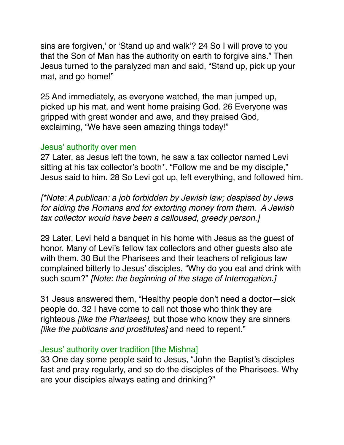sins are forgiven,' or 'Stand up and walk'? 24 So I will prove to you that the Son of Man has the authority on earth to forgive sins." Then Jesus turned to the paralyzed man and said, "Stand up, pick up your mat, and go home!"

25 And immediately, as everyone watched, the man jumped up, picked up his mat, and went home praising God. 26 Everyone was gripped with great wonder and awe, and they praised God, exclaiming, "We have seen amazing things today!"

#### Jesus' authority over men

27 Later, as Jesus left the town, he saw a tax collector named Levi sitting at his tax collector's booth\*. "Follow me and be my disciple," Jesus said to him. 28 So Levi got up, left everything, and followed him.

*[\*Note: A publican: a job forbidden by Jewish law; despised by Jews for aiding the Romans and for extorting money from them. A Jewish tax collector would have been a calloused, greedy person.]*

29 Later, Levi held a banquet in his home with Jesus as the guest of honor. Many of Levi's fellow tax collectors and other guests also ate with them. 30 But the Pharisees and their teachers of religious law complained bitterly to Jesus' disciples, "Why do you eat and drink with such scum?" *[Note: the beginning of the stage of Interrogation.]*

31 Jesus answered them, "Healthy people don't need a doctor—sick people do. 32 I have come to call not those who think they are righteous *[like the Pharisees]*, but those who know they are sinners *[like the publicans and prostitutes]* and need to repent."

## Jesus' authority over tradition [the Mishna]

33 One day some people said to Jesus, "John the Baptist's disciples fast and pray regularly, and so do the disciples of the Pharisees. Why are your disciples always eating and drinking?"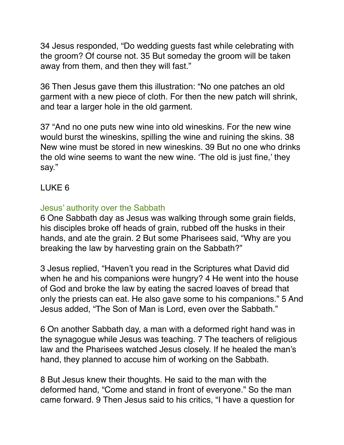34 Jesus responded, "Do wedding guests fast while celebrating with the groom? Of course not. 35 But someday the groom will be taken away from them, and then they will fast."

36 Then Jesus gave them this illustration: "No one patches an old garment with a new piece of cloth. For then the new patch will shrink, and tear a larger hole in the old garment.

37 "And no one puts new wine into old wineskins. For the new wine would burst the wineskins, spilling the wine and ruining the skins. 38 New wine must be stored in new wineskins. 39 But no one who drinks the old wine seems to want the new wine. 'The old is just fine,' they say."

# LUKE 6

### Jesus' authority over the Sabbath

6 One Sabbath day as Jesus was walking through some grain fields, his disciples broke off heads of grain, rubbed off the husks in their hands, and ate the grain. 2 But some Pharisees said, "Why are you breaking the law by harvesting grain on the Sabbath?"

3 Jesus replied, "Haven't you read in the Scriptures what David did when he and his companions were hungry? 4 He went into the house of God and broke the law by eating the sacred loaves of bread that only the priests can eat. He also gave some to his companions." 5 And Jesus added, "The Son of Man is Lord, even over the Sabbath."

6 On another Sabbath day, a man with a deformed right hand was in the synagogue while Jesus was teaching. 7 The teachers of religious law and the Pharisees watched Jesus closely. If he healed the man's hand, they planned to accuse him of working on the Sabbath.

8 But Jesus knew their thoughts. He said to the man with the deformed hand, "Come and stand in front of everyone." So the man came forward. 9 Then Jesus said to his critics, "I have a question for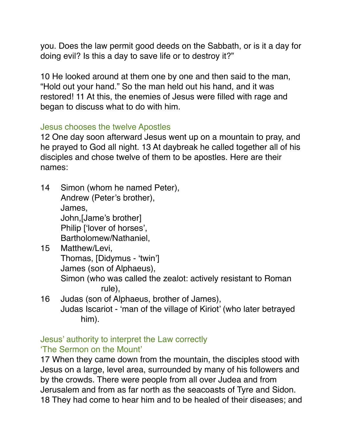you. Does the law permit good deeds on the Sabbath, or is it a day for doing evil? Is this a day to save life or to destroy it?"

10 He looked around at them one by one and then said to the man, "Hold out your hand." So the man held out his hand, and it was restored! 11 At this, the enemies of Jesus were filled with rage and began to discuss what to do with him.

### Jesus chooses the twelve Apostles

12 One day soon afterward Jesus went up on a mountain to pray, and he prayed to God all night. 13 At daybreak he called together all of his disciples and chose twelve of them to be apostles. Here are their names:

14 Simon (whom he named Peter), Andrew (Peter's brother), James, John,[Jame's brother] Philip ['lover of horses', Bartholomew/Nathaniel,

him).

- 15 Matthew/Levi, Thomas, [Didymus - 'twin'] James (son of Alphaeus), Simon (who was called the zealot: actively resistant to Roman rule), 16 Judas (son of Alphaeus, brother of James), Judas Iscariot - 'man of the village of Kiriot' (who later betrayed
- Jesus' authority to interpret the Law correctly 'The Sermon on the Mount'

17 When they came down from the mountain, the disciples stood with Jesus on a large, level area, surrounded by many of his followers and by the crowds. There were people from all over Judea and from Jerusalem and from as far north as the seacoasts of Tyre and Sidon. 18 They had come to hear him and to be healed of their diseases; and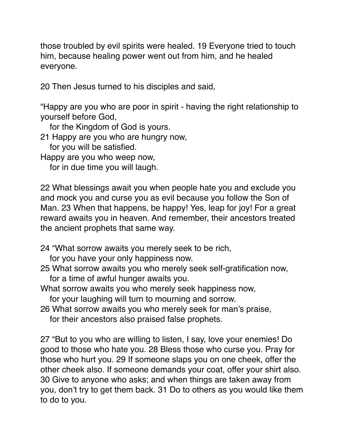those troubled by evil spirits were healed. 19 Everyone tried to touch him, because healing power went out from him, and he healed everyone.

20 Then Jesus turned to his disciples and said,

"Happy are you who are poor in spirit - having the right relationship to yourself before God,

for the Kingdom of God is yours.

21 Happy are you who are hungry now,

for you will be satisfied.

Happy are you who weep now,

for in due time you will laugh.

22 What blessings await you when people hate you and exclude you and mock you and curse you as evil because you follow the Son of Man. 23 When that happens, be happy! Yes, leap for joy! For a great reward awaits you in heaven. And remember, their ancestors treated the ancient prophets that same way.

24 "What sorrow awaits you merely seek to be rich,

for you have your only happiness now.

25 What sorrow awaits you who merely seek self-gratification now, for a time of awful hunger awaits you.

What sorrow awaits you who merely seek happiness now,

for your laughing will turn to mourning and sorrow.

26 What sorrow awaits you who merely seek for man's praise,

for their ancestors also praised false prophets.

27 "But to you who are willing to listen, I say, love your enemies! Do good to those who hate you. 28 Bless those who curse you. Pray for those who hurt you. 29 If someone slaps you on one cheek, offer the other cheek also. If someone demands your coat, offer your shirt also. 30 Give to anyone who asks; and when things are taken away from you, don't try to get them back. 31 Do to others as you would like them to do to you.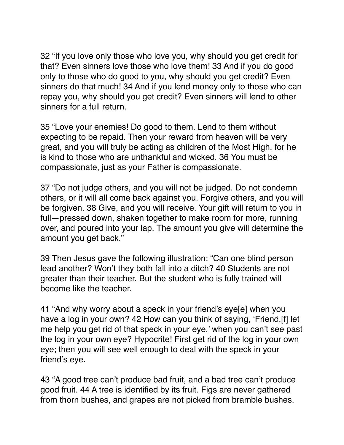32 "If you love only those who love you, why should you get credit for that? Even sinners love those who love them! 33 And if you do good only to those who do good to you, why should you get credit? Even sinners do that much! 34 And if you lend money only to those who can repay you, why should you get credit? Even sinners will lend to other sinners for a full return.

35 "Love your enemies! Do good to them. Lend to them without expecting to be repaid. Then your reward from heaven will be very great, and you will truly be acting as children of the Most High, for he is kind to those who are unthankful and wicked. 36 You must be compassionate, just as your Father is compassionate.

37 "Do not judge others, and you will not be judged. Do not condemn others, or it will all come back against you. Forgive others, and you will be forgiven. 38 Give, and you will receive. Your gift will return to you in full—pressed down, shaken together to make room for more, running over, and poured into your lap. The amount you give will determine the amount you get back."

39 Then Jesus gave the following illustration: "Can one blind person lead another? Won't they both fall into a ditch? 40 Students are not greater than their teacher. But the student who is fully trained will become like the teacher.

41 "And why worry about a speck in your friend's eye[e] when you have a log in your own? 42 How can you think of saying, 'Friend,[f] let me help you get rid of that speck in your eye,' when you can't see past the log in your own eye? Hypocrite! First get rid of the log in your own eye; then you will see well enough to deal with the speck in your friend's eye.

43 "A good tree can't produce bad fruit, and a bad tree can't produce good fruit. 44 A tree is identified by its fruit. Figs are never gathered from thorn bushes, and grapes are not picked from bramble bushes.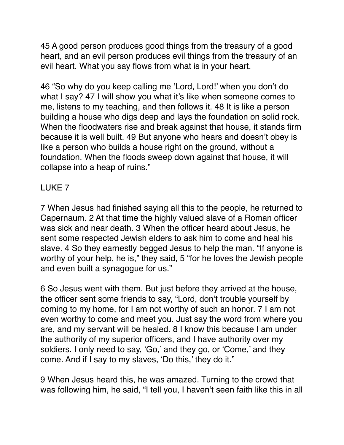45 A good person produces good things from the treasury of a good heart, and an evil person produces evil things from the treasury of an evil heart. What you say flows from what is in your heart.

46 "So why do you keep calling me 'Lord, Lord!' when you don't do what I say? 47 I will show you what it's like when someone comes to me, listens to my teaching, and then follows it. 48 It is like a person building a house who digs deep and lays the foundation on solid rock. When the floodwaters rise and break against that house, it stands firm because it is well built. 49 But anyone who hears and doesn't obey is like a person who builds a house right on the ground, without a foundation. When the floods sweep down against that house, it will collapse into a heap of ruins."

# LUKE 7

7 When Jesus had finished saying all this to the people, he returned to Capernaum. 2 At that time the highly valued slave of a Roman officer was sick and near death. 3 When the officer heard about Jesus, he sent some respected Jewish elders to ask him to come and heal his slave. 4 So they earnestly begged Jesus to help the man. "If anyone is worthy of your help, he is," they said, 5 "for he loves the Jewish people and even built a synagogue for us."

6 So Jesus went with them. But just before they arrived at the house, the officer sent some friends to say, "Lord, don't trouble yourself by coming to my home, for I am not worthy of such an honor. 7 I am not even worthy to come and meet you. Just say the word from where you are, and my servant will be healed. 8 I know this because I am under the authority of my superior officers, and I have authority over my soldiers. I only need to say, 'Go,' and they go, or 'Come,' and they come. And if I say to my slaves, 'Do this,' they do it."

9 When Jesus heard this, he was amazed. Turning to the crowd that was following him, he said, "I tell you, I haven't seen faith like this in all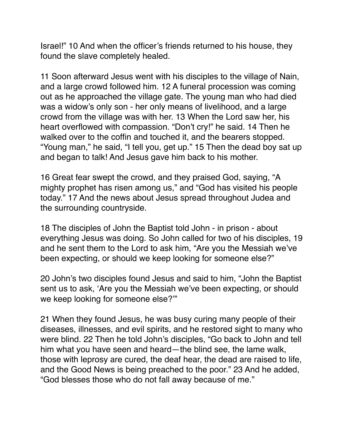Israel!" 10 And when the officer's friends returned to his house, they found the slave completely healed.

11 Soon afterward Jesus went with his disciples to the village of Nain, and a large crowd followed him. 12 A funeral procession was coming out as he approached the village gate. The young man who had died was a widow's only son - her only means of livelihood, and a large crowd from the village was with her. 13 When the Lord saw her, his heart overflowed with compassion. "Don't cry!" he said. 14 Then he walked over to the coffin and touched it, and the bearers stopped. "Young man," he said, "I tell you, get up." 15 Then the dead boy sat up and began to talk! And Jesus gave him back to his mother.

16 Great fear swept the crowd, and they praised God, saying, "A mighty prophet has risen among us," and "God has visited his people today." 17 And the news about Jesus spread throughout Judea and the surrounding countryside.

18 The disciples of John the Baptist told John - in prison - about everything Jesus was doing. So John called for two of his disciples, 19 and he sent them to the Lord to ask him, "Are you the Messiah we've been expecting, or should we keep looking for someone else?"

20 John's two disciples found Jesus and said to him, "John the Baptist sent us to ask, 'Are you the Messiah we've been expecting, or should we keep looking for someone else?'"

21 When they found Jesus, he was busy curing many people of their diseases, illnesses, and evil spirits, and he restored sight to many who were blind. 22 Then he told John's disciples, "Go back to John and tell him what you have seen and heard—the blind see, the lame walk, those with leprosy are cured, the deaf hear, the dead are raised to life, and the Good News is being preached to the poor." 23 And he added, "God blesses those who do not fall away because of me."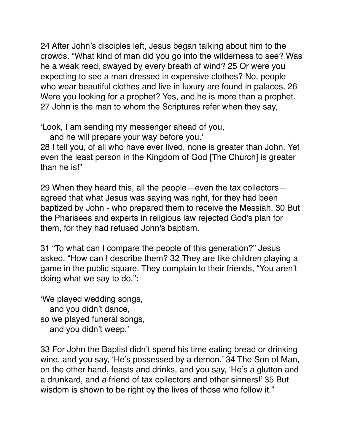24 After John's disciples left, Jesus began talking about him to the crowds. "What kind of man did you go into the wilderness to see? Was he a weak reed, swayed by every breath of wind? 25 Or were you expecting to see a man dressed in expensive clothes? No, people who wear beautiful clothes and live in luxury are found in palaces. 26 Were you looking for a prophet? Yes, and he is more than a prophet. 27 John is the man to whom the Scriptures refer when they say,

'Look, I am sending my messenger ahead of you,

and he will prepare your way before you.'

28 I tell you, of all who have ever lived, none is greater than John. Yet even the least person in the Kingdom of God [The Church] is greater than he is!"

29 When they heard this, all the people—even the tax collectors agreed that what Jesus was saying was right, for they had been baptized by John - who prepared them to receive the Messiah. 30 But the Pharisees and experts in religious law rejected God's plan for them, for they had refused John's baptism.

31 "To what can I compare the people of this generation?" Jesus asked. "How can I describe them? 32 They are like children playing a game in the public square. They complain to their friends, "You aren't doing what we say to do.":

'We played wedding songs, and you didn't dance, so we played funeral songs, and you didn't weep.'

33 For John the Baptist didn't spend his time eating bread or drinking wine, and you say, 'He's possessed by a demon.' 34 The Son of Man, on the other hand, feasts and drinks, and you say, 'He's a glutton and a drunkard, and a friend of tax collectors and other sinners!' 35 But wisdom is shown to be right by the lives of those who follow it."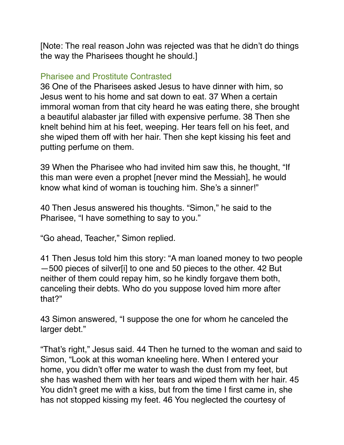[Note: The real reason John was rejected was that he didn't do things the way the Pharisees thought he should.]

### Pharisee and Prostitute Contrasted

36 One of the Pharisees asked Jesus to have dinner with him, so Jesus went to his home and sat down to eat. 37 When a certain immoral woman from that city heard he was eating there, she brought a beautiful alabaster jar filled with expensive perfume. 38 Then she knelt behind him at his feet, weeping. Her tears fell on his feet, and she wiped them off with her hair. Then she kept kissing his feet and putting perfume on them.

39 When the Pharisee who had invited him saw this, he thought, "If this man were even a prophet [never mind the Messiah], he would know what kind of woman is touching him. She's a sinner!"

40 Then Jesus answered his thoughts. "Simon," he said to the Pharisee, "I have something to say to you."

"Go ahead, Teacher," Simon replied.

41 Then Jesus told him this story: "A man loaned money to two people —500 pieces of silver[i] to one and 50 pieces to the other. 42 But neither of them could repay him, so he kindly forgave them both, canceling their debts. Who do you suppose loved him more after that?"

43 Simon answered, "I suppose the one for whom he canceled the larger debt."

"That's right," Jesus said. 44 Then he turned to the woman and said to Simon, "Look at this woman kneeling here. When I entered your home, you didn't offer me water to wash the dust from my feet, but she has washed them with her tears and wiped them with her hair. 45 You didn't greet me with a kiss, but from the time I first came in, she has not stopped kissing my feet. 46 You neglected the courtesy of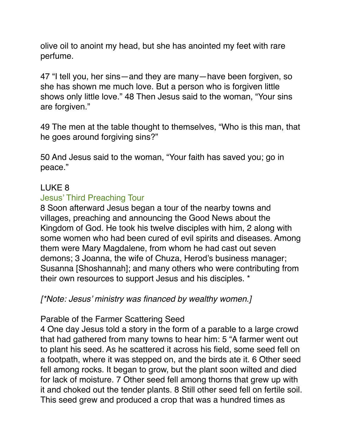olive oil to anoint my head, but she has anointed my feet with rare perfume.

47 "I tell you, her sins—and they are many—have been forgiven, so she has shown me much love. But a person who is forgiven little shows only little love." 48 Then Jesus said to the woman, "Your sins are forgiven."

49 The men at the table thought to themselves, "Who is this man, that he goes around forgiving sins?"

50 And Jesus said to the woman, "Your faith has saved you; go in peace."

## LUKE 8

## Jesus' Third Preaching Tour

8 Soon afterward Jesus began a tour of the nearby towns and villages, preaching and announcing the Good News about the Kingdom of God. He took his twelve disciples with him, 2 along with some women who had been cured of evil spirits and diseases. Among them were Mary Magdalene, from whom he had cast out seven demons; 3 Joanna, the wife of Chuza, Herod's business manager; Susanna [Shoshannah]; and many others who were contributing from their own resources to support Jesus and his disciples. \*

*[\*Note: Jesus' ministry was financed by wealthy women.]*

Parable of the Farmer Scattering Seed

4 One day Jesus told a story in the form of a parable to a large crowd that had gathered from many towns to hear him: 5 "A farmer went out to plant his seed. As he scattered it across his field, some seed fell on a footpath, where it was stepped on, and the birds ate it. 6 Other seed fell among rocks. It began to grow, but the plant soon wilted and died for lack of moisture. 7 Other seed fell among thorns that grew up with it and choked out the tender plants. 8 Still other seed fell on fertile soil. This seed grew and produced a crop that was a hundred times as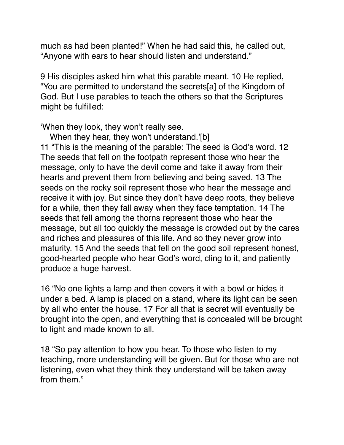much as had been planted!" When he had said this, he called out, "Anyone with ears to hear should listen and understand."

9 His disciples asked him what this parable meant. 10 He replied, "You are permitted to understand the secrets[a] of the Kingdom of God. But I use parables to teach the others so that the Scriptures might be fulfilled:

'When they look, they won't really see.

When they hear, they won't understand.'[b]

11 "This is the meaning of the parable: The seed is God's word. 12 The seeds that fell on the footpath represent those who hear the message, only to have the devil come and take it away from their hearts and prevent them from believing and being saved. 13 The seeds on the rocky soil represent those who hear the message and receive it with joy. But since they don't have deep roots, they believe for a while, then they fall away when they face temptation. 14 The seeds that fell among the thorns represent those who hear the message, but all too quickly the message is crowded out by the cares and riches and pleasures of this life. And so they never grow into maturity. 15 And the seeds that fell on the good soil represent honest, good-hearted people who hear God's word, cling to it, and patiently produce a huge harvest.

16 "No one lights a lamp and then covers it with a bowl or hides it under a bed. A lamp is placed on a stand, where its light can be seen by all who enter the house. 17 For all that is secret will eventually be brought into the open, and everything that is concealed will be brought to light and made known to all.

18 "So pay attention to how you hear. To those who listen to my teaching, more understanding will be given. But for those who are not listening, even what they think they understand will be taken away from them."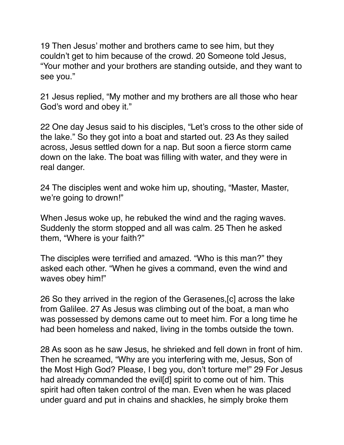19 Then Jesus' mother and brothers came to see him, but they couldn't get to him because of the crowd. 20 Someone told Jesus, "Your mother and your brothers are standing outside, and they want to see you."

21 Jesus replied, "My mother and my brothers are all those who hear God's word and obey it."

22 One day Jesus said to his disciples, "Let's cross to the other side of the lake." So they got into a boat and started out. 23 As they sailed across, Jesus settled down for a nap. But soon a fierce storm came down on the lake. The boat was filling with water, and they were in real danger.

24 The disciples went and woke him up, shouting, "Master, Master, we're going to drown!"

When Jesus woke up, he rebuked the wind and the raging waves. Suddenly the storm stopped and all was calm. 25 Then he asked them, "Where is your faith?"

The disciples were terrified and amazed. "Who is this man?" they asked each other. "When he gives a command, even the wind and waves obey him!"

26 So they arrived in the region of the Gerasenes,[c] across the lake from Galilee. 27 As Jesus was climbing out of the boat, a man who was possessed by demons came out to meet him. For a long time he had been homeless and naked, living in the tombs outside the town.

28 As soon as he saw Jesus, he shrieked and fell down in front of him. Then he screamed, "Why are you interfering with me, Jesus, Son of the Most High God? Please, I beg you, don't torture me!" 29 For Jesus had already commanded the evil [d] spirit to come out of him. This spirit had often taken control of the man. Even when he was placed under guard and put in chains and shackles, he simply broke them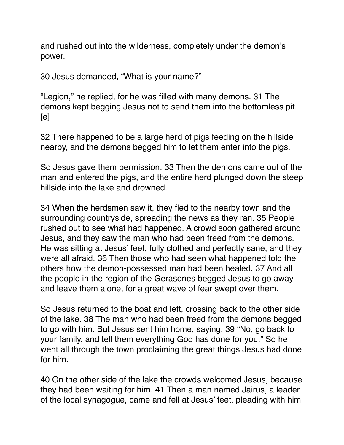and rushed out into the wilderness, completely under the demon's power.

30 Jesus demanded, "What is your name?"

"Legion," he replied, for he was filled with many demons. 31 The demons kept begging Jesus not to send them into the bottomless pit.  $[e]$ 

32 There happened to be a large herd of pigs feeding on the hillside nearby, and the demons begged him to let them enter into the pigs.

So Jesus gave them permission. 33 Then the demons came out of the man and entered the pigs, and the entire herd plunged down the steep hillside into the lake and drowned.

34 When the herdsmen saw it, they fled to the nearby town and the surrounding countryside, spreading the news as they ran. 35 People rushed out to see what had happened. A crowd soon gathered around Jesus, and they saw the man who had been freed from the demons. He was sitting at Jesus' feet, fully clothed and perfectly sane, and they were all afraid. 36 Then those who had seen what happened told the others how the demon-possessed man had been healed. 37 And all the people in the region of the Gerasenes begged Jesus to go away and leave them alone, for a great wave of fear swept over them.

So Jesus returned to the boat and left, crossing back to the other side of the lake. 38 The man who had been freed from the demons begged to go with him. But Jesus sent him home, saying, 39 "No, go back to your family, and tell them everything God has done for you." So he went all through the town proclaiming the great things Jesus had done for him.

40 On the other side of the lake the crowds welcomed Jesus, because they had been waiting for him. 41 Then a man named Jairus, a leader of the local synagogue, came and fell at Jesus' feet, pleading with him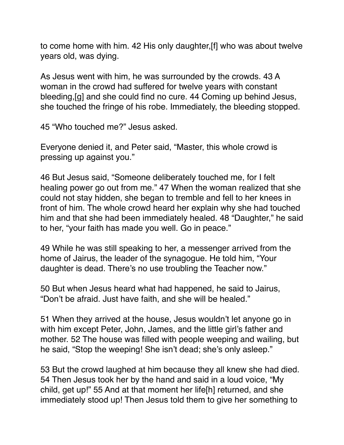to come home with him. 42 His only daughter,[f] who was about twelve years old, was dying.

As Jesus went with him, he was surrounded by the crowds. 43 A woman in the crowd had suffered for twelve years with constant bleeding,[g] and she could find no cure. 44 Coming up behind Jesus, she touched the fringe of his robe. Immediately, the bleeding stopped.

45 "Who touched me?" Jesus asked.

Everyone denied it, and Peter said, "Master, this whole crowd is pressing up against you."

46 But Jesus said, "Someone deliberately touched me, for I felt healing power go out from me." 47 When the woman realized that she could not stay hidden, she began to tremble and fell to her knees in front of him. The whole crowd heard her explain why she had touched him and that she had been immediately healed. 48 "Daughter," he said to her, "your faith has made you well. Go in peace."

49 While he was still speaking to her, a messenger arrived from the home of Jairus, the leader of the synagogue. He told him, "Your daughter is dead. There's no use troubling the Teacher now."

50 But when Jesus heard what had happened, he said to Jairus, "Don't be afraid. Just have faith, and she will be healed."

51 When they arrived at the house, Jesus wouldn't let anyone go in with him except Peter, John, James, and the little girl's father and mother. 52 The house was filled with people weeping and wailing, but he said, "Stop the weeping! She isn't dead; she's only asleep."

53 But the crowd laughed at him because they all knew she had died. 54 Then Jesus took her by the hand and said in a loud voice, "My child, get up!" 55 And at that moment her life[h] returned, and she immediately stood up! Then Jesus told them to give her something to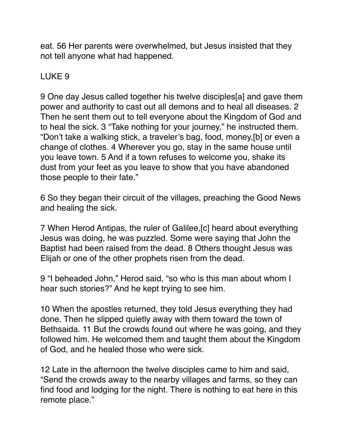eat. 56 Her parents were overwhelmed, but Jesus insisted that they not tell anyone what had happened.

# LUKE 9

9 One day Jesus called together his twelve disciples[a] and gave them power and authority to cast out all demons and to heal all diseases. 2 Then he sent them out to tell everyone about the Kingdom of God and to heal the sick. 3 "Take nothing for your journey," he instructed them. "Don't take a walking stick, a traveler's bag, food, money,[b] or even a change of clothes. 4 Wherever you go, stay in the same house until you leave town. 5 And if a town refuses to welcome you, shake its dust from your feet as you leave to show that you have abandoned those people to their fate."

6 So they began their circuit of the villages, preaching the Good News and healing the sick.

7 When Herod Antipas, the ruler of Galilee,[c] heard about everything Jesus was doing, he was puzzled. Some were saying that John the Baptist had been raised from the dead. 8 Others thought Jesus was Elijah or one of the other prophets risen from the dead.

9 "I beheaded John," Herod said, "so who is this man about whom I hear such stories?" And he kept trying to see him.

10 When the apostles returned, they told Jesus everything they had done. Then he slipped quietly away with them toward the town of Bethsaida. 11 But the crowds found out where he was going, and they followed him. He welcomed them and taught them about the Kingdom of God, and he healed those who were sick.

12 Late in the afternoon the twelve disciples came to him and said, "Send the crowds away to the nearby villages and farms, so they can find food and lodging for the night. There is nothing to eat here in this remote place."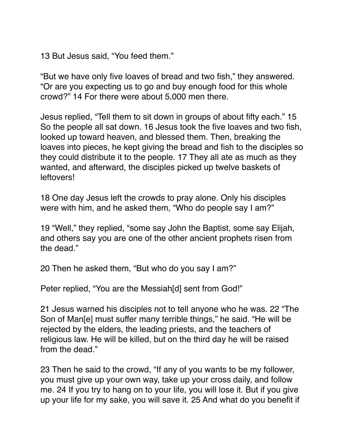13 But Jesus said, "You feed them."

"But we have only five loaves of bread and two fish," they answered. "Or are you expecting us to go and buy enough food for this whole crowd?" 14 For there were about 5,000 men there.

Jesus replied, "Tell them to sit down in groups of about fifty each." 15 So the people all sat down. 16 Jesus took the five loaves and two fish, looked up toward heaven, and blessed them. Then, breaking the loaves into pieces, he kept giving the bread and fish to the disciples so they could distribute it to the people. 17 They all ate as much as they wanted, and afterward, the disciples picked up twelve baskets of leftovers!

18 One day Jesus left the crowds to pray alone. Only his disciples were with him, and he asked them, "Who do people say I am?"

19 "Well," they replied, "some say John the Baptist, some say Elijah, and others say you are one of the other ancient prophets risen from the dead."

20 Then he asked them, "But who do you say I am?"

Peter replied, "You are the Messiah[d] sent from God!"

21 Jesus warned his disciples not to tell anyone who he was. 22 "The Son of Man[e] must suffer many terrible things," he said. "He will be rejected by the elders, the leading priests, and the teachers of religious law. He will be killed, but on the third day he will be raised from the dead."

23 Then he said to the crowd, "If any of you wants to be my follower, you must give up your own way, take up your cross daily, and follow me. 24 If you try to hang on to your life, you will lose it. But if you give up your life for my sake, you will save it. 25 And what do you benefit if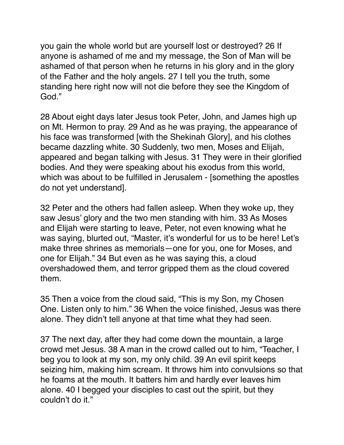you gain the whole world but are yourself lost or destroyed? 26 If anyone is ashamed of me and my message, the Son of Man will be ashamed of that person when he returns in his glory and in the glory of the Father and the holy angels. 27 I tell you the truth, some standing here right now will not die before they see the Kingdom of God."

28 About eight days later Jesus took Peter, John, and James high up on Mt. Hermon to pray. 29 And as he was praying, the appearance of his face was transformed [with the Shekinah Glory], and his clothes became dazzling white. 30 Suddenly, two men, Moses and Elijah, appeared and began talking with Jesus. 31 They were in their glorified bodies. And they were speaking about his exodus from this world, which was about to be fulfilled in Jerusalem - [something the apostles do not yet understand].

32 Peter and the others had fallen asleep. When they woke up, they saw Jesus' glory and the two men standing with him. 33 As Moses and Elijah were starting to leave, Peter, not even knowing what he was saying, blurted out, "Master, it's wonderful for us to be here! Let's make three shrines as memorials—one for you, one for Moses, and one for Elijah." 34 But even as he was saying this, a cloud overshadowed them, and terror gripped them as the cloud covered them.

35 Then a voice from the cloud said, "This is my Son, my Chosen One. Listen only to him." 36 When the voice finished, Jesus was there alone. They didn't tell anyone at that time what they had seen.

37 The next day, after they had come down the mountain, a large crowd met Jesus. 38 A man in the crowd called out to him, "Teacher, I beg you to look at my son, my only child. 39 An evil spirit keeps seizing him, making him scream. It throws him into convulsions so that he foams at the mouth. It batters him and hardly ever leaves him alone. 40 I begged your disciples to cast out the spirit, but they couldn't do it."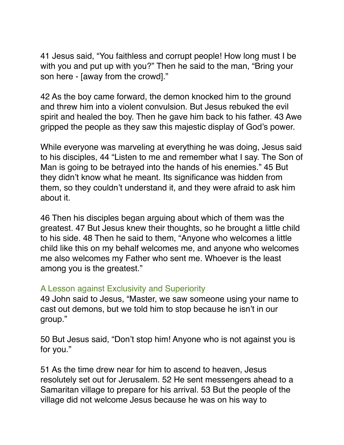41 Jesus said, "You faithless and corrupt people! How long must I be with you and put up with you?" Then he said to the man, "Bring your son here - [away from the crowd]."

42 As the boy came forward, the demon knocked him to the ground and threw him into a violent convulsion. But Jesus rebuked the evil spirit and healed the boy. Then he gave him back to his father. 43 Awe gripped the people as they saw this majestic display of God's power.

While everyone was marveling at everything he was doing, Jesus said to his disciples, 44 "Listen to me and remember what I say. The Son of Man is going to be betrayed into the hands of his enemies." 45 But they didn't know what he meant. Its significance was hidden from them, so they couldn't understand it, and they were afraid to ask him about it.

46 Then his disciples began arguing about which of them was the greatest. 47 But Jesus knew their thoughts, so he brought a little child to his side. 48 Then he said to them, "Anyone who welcomes a little child like this on my behalf welcomes me, and anyone who welcomes me also welcomes my Father who sent me. Whoever is the least among you is the greatest."

#### A Lesson against Exclusivity and Superiority

49 John said to Jesus, "Master, we saw someone using your name to cast out demons, but we told him to stop because he isn't in our group."

50 But Jesus said, "Don't stop him! Anyone who is not against you is for you."

51 As the time drew near for him to ascend to heaven, Jesus resolutely set out for Jerusalem. 52 He sent messengers ahead to a Samaritan village to prepare for his arrival. 53 But the people of the village did not welcome Jesus because he was on his way to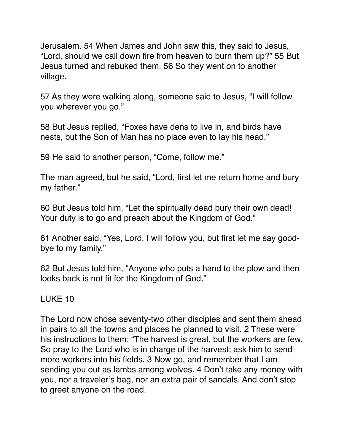Jerusalem. 54 When James and John saw this, they said to Jesus, "Lord, should we call down fire from heaven to burn them up?" 55 But Jesus turned and rebuked them. 56 So they went on to another village.

57 As they were walking along, someone said to Jesus, "I will follow you wherever you go."

58 But Jesus replied, "Foxes have dens to live in, and birds have nests, but the Son of Man has no place even to lay his head."

59 He said to another person, "Come, follow me."

The man agreed, but he said, "Lord, first let me return home and bury my father."

60 But Jesus told him, "Let the spiritually dead bury their own dead! Your duty is to go and preach about the Kingdom of God."

61 Another said, "Yes, Lord, I will follow you, but first let me say goodbye to my family."

62 But Jesus told him, "Anyone who puts a hand to the plow and then looks back is not fit for the Kingdom of God."

## LUKE 10

The Lord now chose seventy-two other disciples and sent them ahead in pairs to all the towns and places he planned to visit. 2 These were his instructions to them: "The harvest is great, but the workers are few. So pray to the Lord who is in charge of the harvest; ask him to send more workers into his fields. 3 Now go, and remember that I am sending you out as lambs among wolves. 4 Don't take any money with you, nor a traveler's bag, nor an extra pair of sandals. And don't stop to greet anyone on the road.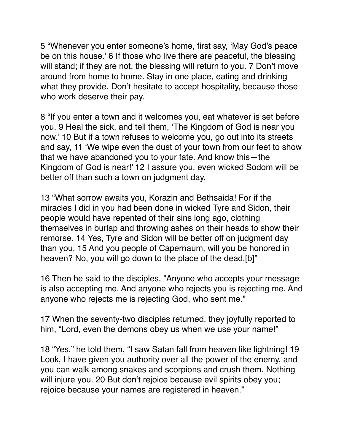5 "Whenever you enter someone's home, first say, 'May God's peace be on this house.' 6 If those who live there are peaceful, the blessing will stand; if they are not, the blessing will return to you. 7 Don't move around from home to home. Stay in one place, eating and drinking what they provide. Don't hesitate to accept hospitality, because those who work deserve their pay.

8 "If you enter a town and it welcomes you, eat whatever is set before you. 9 Heal the sick, and tell them, 'The Kingdom of God is near you now.' 10 But if a town refuses to welcome you, go out into its streets and say, 11 'We wipe even the dust of your town from our feet to show that we have abandoned you to your fate. And know this—the Kingdom of God is near!' 12 I assure you, even wicked Sodom will be better off than such a town on judgment day.

13 "What sorrow awaits you, Korazin and Bethsaida! For if the miracles I did in you had been done in wicked Tyre and Sidon, their people would have repented of their sins long ago, clothing themselves in burlap and throwing ashes on their heads to show their remorse. 14 Yes, Tyre and Sidon will be better off on judgment day than you. 15 And you people of Capernaum, will you be honored in heaven? No, you will go down to the place of the dead.[b]"

16 Then he said to the disciples, "Anyone who accepts your message is also accepting me. And anyone who rejects you is rejecting me. And anyone who rejects me is rejecting God, who sent me."

17 When the seventy-two disciples returned, they joyfully reported to him, "Lord, even the demons obey us when we use your name!"

18 "Yes," he told them, "I saw Satan fall from heaven like lightning! 19 Look, I have given you authority over all the power of the enemy, and you can walk among snakes and scorpions and crush them. Nothing will injure you. 20 But don't rejoice because evil spirits obey you; rejoice because your names are registered in heaven."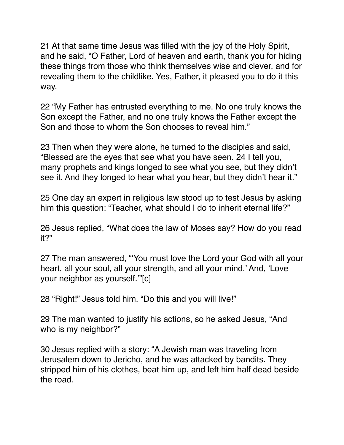21 At that same time Jesus was filled with the joy of the Holy Spirit, and he said, "O Father, Lord of heaven and earth, thank you for hiding these things from those who think themselves wise and clever, and for revealing them to the childlike. Yes, Father, it pleased you to do it this way.

22 "My Father has entrusted everything to me. No one truly knows the Son except the Father, and no one truly knows the Father except the Son and those to whom the Son chooses to reveal him."

23 Then when they were alone, he turned to the disciples and said, "Blessed are the eyes that see what you have seen. 24 I tell you, many prophets and kings longed to see what you see, but they didn't see it. And they longed to hear what you hear, but they didn't hear it."

25 One day an expert in religious law stood up to test Jesus by asking him this question: "Teacher, what should I do to inherit eternal life?"

26 Jesus replied, "What does the law of Moses say? How do you read it?"

27 The man answered, "'You must love the Lord your God with all your heart, all your soul, all your strength, and all your mind.' And, 'Love your neighbor as yourself.'"[c]

28 "Right!" Jesus told him. "Do this and you will live!"

29 The man wanted to justify his actions, so he asked Jesus, "And who is my neighbor?"

30 Jesus replied with a story: "A Jewish man was traveling from Jerusalem down to Jericho, and he was attacked by bandits. They stripped him of his clothes, beat him up, and left him half dead beside the road.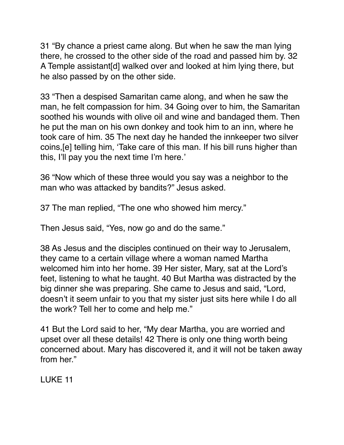31 "By chance a priest came along. But when he saw the man lying there, he crossed to the other side of the road and passed him by. 32 A Temple assistant[d] walked over and looked at him lying there, but he also passed by on the other side.

33 "Then a despised Samaritan came along, and when he saw the man, he felt compassion for him. 34 Going over to him, the Samaritan soothed his wounds with olive oil and wine and bandaged them. Then he put the man on his own donkey and took him to an inn, where he took care of him. 35 The next day he handed the innkeeper two silver coins,[e] telling him, 'Take care of this man. If his bill runs higher than this, I'll pay you the next time I'm here.'

36 "Now which of these three would you say was a neighbor to the man who was attacked by bandits?" Jesus asked.

37 The man replied, "The one who showed him mercy."

Then Jesus said, "Yes, now go and do the same."

38 As Jesus and the disciples continued on their way to Jerusalem, they came to a certain village where a woman named Martha welcomed him into her home. 39 Her sister, Mary, sat at the Lord's feet, listening to what he taught. 40 But Martha was distracted by the big dinner she was preparing. She came to Jesus and said, "Lord, doesn't it seem unfair to you that my sister just sits here while I do all the work? Tell her to come and help me."

41 But the Lord said to her, "My dear Martha, you are worried and upset over all these details! 42 There is only one thing worth being concerned about. Mary has discovered it, and it will not be taken away from her."

LUKE 11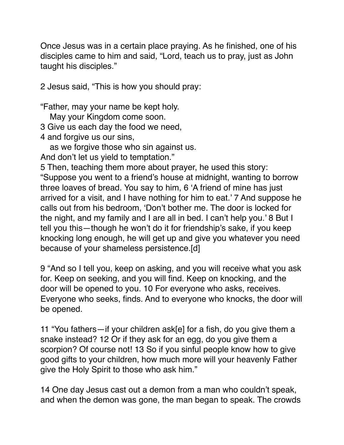Once Jesus was in a certain place praying. As he finished, one of his disciples came to him and said, "Lord, teach us to pray, just as John taught his disciples."

2 Jesus said, "This is how you should pray:

"Father, may your name be kept holy.

May your Kingdom come soon.

3 Give us each day the food we need,

4 and forgive us our sins,

as we forgive those who sin against us.

And don't let us yield to temptation."

5 Then, teaching them more about prayer, he used this story: "Suppose you went to a friend's house at midnight, wanting to borrow three loaves of bread. You say to him, 6 'A friend of mine has just arrived for a visit, and I have nothing for him to eat.' 7 And suppose he calls out from his bedroom, 'Don't bother me. The door is locked for the night, and my family and I are all in bed. I can't help you.' 8 But I tell you this—though he won't do it for friendship's sake, if you keep knocking long enough, he will get up and give you whatever you need because of your shameless persistence.[d]

9 "And so I tell you, keep on asking, and you will receive what you ask for. Keep on seeking, and you will find. Keep on knocking, and the door will be opened to you. 10 For everyone who asks, receives. Everyone who seeks, finds. And to everyone who knocks, the door will be opened.

11 "You fathers—if your children ask[e] for a fish, do you give them a snake instead? 12 Or if they ask for an egg, do you give them a scorpion? Of course not! 13 So if you sinful people know how to give good gifts to your children, how much more will your heavenly Father give the Holy Spirit to those who ask him."

14 One day Jesus cast out a demon from a man who couldn't speak, and when the demon was gone, the man began to speak. The crowds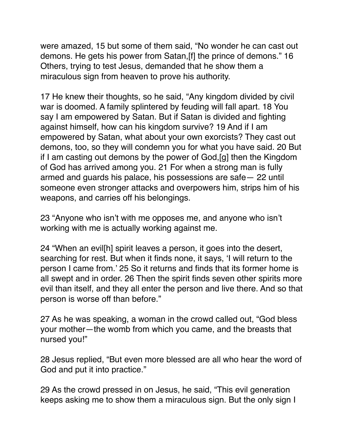were amazed, 15 but some of them said, "No wonder he can cast out demons. He gets his power from Satan,[f] the prince of demons." 16 Others, trying to test Jesus, demanded that he show them a miraculous sign from heaven to prove his authority.

17 He knew their thoughts, so he said, "Any kingdom divided by civil war is doomed. A family splintered by feuding will fall apart. 18 You say I am empowered by Satan. But if Satan is divided and fighting against himself, how can his kingdom survive? 19 And if I am empowered by Satan, what about your own exorcists? They cast out demons, too, so they will condemn you for what you have said. 20 But if I am casting out demons by the power of God,[g] then the Kingdom of God has arrived among you. 21 For when a strong man is fully armed and guards his palace, his possessions are safe— 22 until someone even stronger attacks and overpowers him, strips him of his weapons, and carries off his belongings.

23 "Anyone who isn't with me opposes me, and anyone who isn't working with me is actually working against me.

24 "When an evil[h] spirit leaves a person, it goes into the desert, searching for rest. But when it finds none, it says, 'I will return to the person I came from.' 25 So it returns and finds that its former home is all swept and in order. 26 Then the spirit finds seven other spirits more evil than itself, and they all enter the person and live there. And so that person is worse off than before."

27 As he was speaking, a woman in the crowd called out, "God bless your mother—the womb from which you came, and the breasts that nursed you!"

28 Jesus replied, "But even more blessed are all who hear the word of God and put it into practice."

29 As the crowd pressed in on Jesus, he said, "This evil generation keeps asking me to show them a miraculous sign. But the only sign I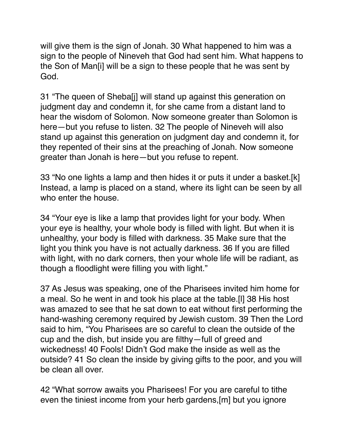will give them is the sign of Jonah. 30 What happened to him was a sign to the people of Nineveh that God had sent him. What happens to the Son of Man[i] will be a sign to these people that he was sent by God.

31 "The queen of Sheba[j] will stand up against this generation on judgment day and condemn it, for she came from a distant land to hear the wisdom of Solomon. Now someone greater than Solomon is here—but you refuse to listen. 32 The people of Nineveh will also stand up against this generation on judgment day and condemn it, for they repented of their sins at the preaching of Jonah. Now someone greater than Jonah is here—but you refuse to repent.

33 "No one lights a lamp and then hides it or puts it under a basket.[k] Instead, a lamp is placed on a stand, where its light can be seen by all who enter the house.

34 "Your eye is like a lamp that provides light for your body. When your eye is healthy, your whole body is filled with light. But when it is unhealthy, your body is filled with darkness. 35 Make sure that the light you think you have is not actually darkness. 36 If you are filled with light, with no dark corners, then your whole life will be radiant, as though a floodlight were filling you with light."

37 As Jesus was speaking, one of the Pharisees invited him home for a meal. So he went in and took his place at the table.[l] 38 His host was amazed to see that he sat down to eat without first performing the hand-washing ceremony required by Jewish custom. 39 Then the Lord said to him, "You Pharisees are so careful to clean the outside of the cup and the dish, but inside you are filthy—full of greed and wickedness! 40 Fools! Didn't God make the inside as well as the outside? 41 So clean the inside by giving gifts to the poor, and you will be clean all over.

42 "What sorrow awaits you Pharisees! For you are careful to tithe even the tiniest income from your herb gardens,[m] but you ignore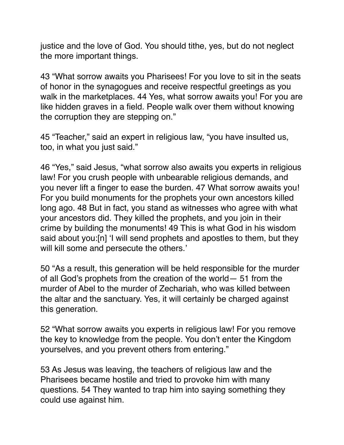justice and the love of God. You should tithe, yes, but do not neglect the more important things.

43 "What sorrow awaits you Pharisees! For you love to sit in the seats of honor in the synagogues and receive respectful greetings as you walk in the marketplaces. 44 Yes, what sorrow awaits you! For you are like hidden graves in a field. People walk over them without knowing the corruption they are stepping on."

45 "Teacher," said an expert in religious law, "you have insulted us, too, in what you just said."

46 "Yes," said Jesus, "what sorrow also awaits you experts in religious law! For you crush people with unbearable religious demands, and you never lift a finger to ease the burden. 47 What sorrow awaits you! For you build monuments for the prophets your own ancestors killed long ago. 48 But in fact, you stand as witnesses who agree with what your ancestors did. They killed the prophets, and you join in their crime by building the monuments! 49 This is what God in his wisdom said about you:[n] 'I will send prophets and apostles to them, but they will kill some and persecute the others.'

50 "As a result, this generation will be held responsible for the murder of all God's prophets from the creation of the world— 51 from the murder of Abel to the murder of Zechariah, who was killed between the altar and the sanctuary. Yes, it will certainly be charged against this generation.

52 "What sorrow awaits you experts in religious law! For you remove the key to knowledge from the people. You don't enter the Kingdom yourselves, and you prevent others from entering."

53 As Jesus was leaving, the teachers of religious law and the Pharisees became hostile and tried to provoke him with many questions. 54 They wanted to trap him into saying something they could use against him.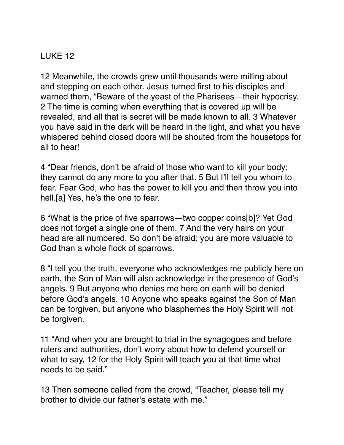# LUKE 12

12 Meanwhile, the crowds grew until thousands were milling about and stepping on each other. Jesus turned first to his disciples and warned them, "Beware of the yeast of the Pharisees—their hypocrisy. 2 The time is coming when everything that is covered up will be revealed, and all that is secret will be made known to all. 3 Whatever you have said in the dark will be heard in the light, and what you have whispered behind closed doors will be shouted from the housetops for all to hear!

4 "Dear friends, don't be afraid of those who want to kill your body; they cannot do any more to you after that. 5 But I'll tell you whom to fear. Fear God, who has the power to kill you and then throw you into hell.[a] Yes, he's the one to fear.

6 "What is the price of five sparrows—two copper coins[b]? Yet God does not forget a single one of them. 7 And the very hairs on your head are all numbered. So don't be afraid; you are more valuable to God than a whole flock of sparrows.

8 "I tell you the truth, everyone who acknowledges me publicly here on earth, the Son of Man will also acknowledge in the presence of God's angels. 9 But anyone who denies me here on earth will be denied before God's angels. 10 Anyone who speaks against the Son of Man can be forgiven, but anyone who blasphemes the Holy Spirit will not be forgiven.

11 "And when you are brought to trial in the synagogues and before rulers and authorities, don't worry about how to defend yourself or what to say, 12 for the Holy Spirit will teach you at that time what needs to be said."

13 Then someone called from the crowd, "Teacher, please tell my brother to divide our father's estate with me."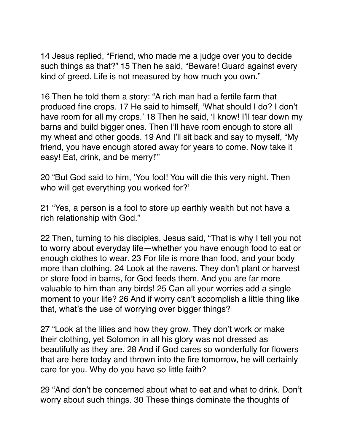14 Jesus replied, "Friend, who made me a judge over you to decide such things as that?" 15 Then he said, "Beware! Guard against every kind of greed. Life is not measured by how much you own."

16 Then he told them a story: "A rich man had a fertile farm that produced fine crops. 17 He said to himself, 'What should I do? I don't have room for all my crops.' 18 Then he said, 'I know! I'll tear down my barns and build bigger ones. Then I'll have room enough to store all my wheat and other goods. 19 And I'll sit back and say to myself, "My friend, you have enough stored away for years to come. Now take it easy! Eat, drink, and be merry!"'

20 "But God said to him, 'You fool! You will die this very night. Then who will get everything you worked for?'

21 "Yes, a person is a fool to store up earthly wealth but not have a rich relationship with God."

22 Then, turning to his disciples, Jesus said, "That is why I tell you not to worry about everyday life—whether you have enough food to eat or enough clothes to wear. 23 For life is more than food, and your body more than clothing. 24 Look at the ravens. They don't plant or harvest or store food in barns, for God feeds them. And you are far more valuable to him than any birds! 25 Can all your worries add a single moment to your life? 26 And if worry can't accomplish a little thing like that, what's the use of worrying over bigger things?

27 "Look at the lilies and how they grow. They don't work or make their clothing, yet Solomon in all his glory was not dressed as beautifully as they are. 28 And if God cares so wonderfully for flowers that are here today and thrown into the fire tomorrow, he will certainly care for you. Why do you have so little faith?

29 "And don't be concerned about what to eat and what to drink. Don't worry about such things. 30 These things dominate the thoughts of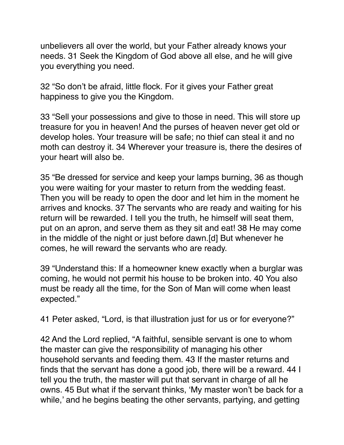unbelievers all over the world, but your Father already knows your needs. 31 Seek the Kingdom of God above all else, and he will give you everything you need.

32 "So don't be afraid, little flock. For it gives your Father great happiness to give you the Kingdom.

33 "Sell your possessions and give to those in need. This will store up treasure for you in heaven! And the purses of heaven never get old or develop holes. Your treasure will be safe; no thief can steal it and no moth can destroy it. 34 Wherever your treasure is, there the desires of your heart will also be.

35 "Be dressed for service and keep your lamps burning, 36 as though you were waiting for your master to return from the wedding feast. Then you will be ready to open the door and let him in the moment he arrives and knocks. 37 The servants who are ready and waiting for his return will be rewarded. I tell you the truth, he himself will seat them, put on an apron, and serve them as they sit and eat! 38 He may come in the middle of the night or just before dawn.[d] But whenever he comes, he will reward the servants who are ready.

39 "Understand this: If a homeowner knew exactly when a burglar was coming, he would not permit his house to be broken into. 40 You also must be ready all the time, for the Son of Man will come when least expected."

41 Peter asked, "Lord, is that illustration just for us or for everyone?"

42 And the Lord replied, "A faithful, sensible servant is one to whom the master can give the responsibility of managing his other household servants and feeding them. 43 If the master returns and finds that the servant has done a good job, there will be a reward. 44 I tell you the truth, the master will put that servant in charge of all he owns. 45 But what if the servant thinks, 'My master won't be back for a while,' and he begins beating the other servants, partying, and getting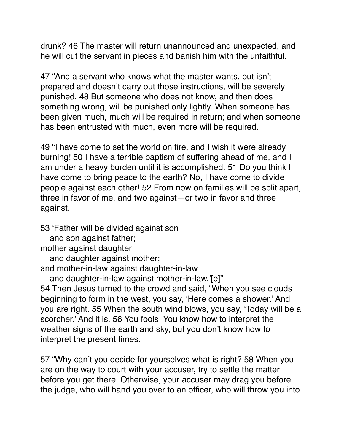drunk? 46 The master will return unannounced and unexpected, and he will cut the servant in pieces and banish him with the unfaithful.

47 "And a servant who knows what the master wants, but isn't prepared and doesn't carry out those instructions, will be severely punished. 48 But someone who does not know, and then does something wrong, will be punished only lightly. When someone has been given much, much will be required in return; and when someone has been entrusted with much, even more will be required.

49 "I have come to set the world on fire, and I wish it were already burning! 50 I have a terrible baptism of suffering ahead of me, and I am under a heavy burden until it is accomplished. 51 Do you think I have come to bring peace to the earth? No, I have come to divide people against each other! 52 From now on families will be split apart, three in favor of me, and two against—or two in favor and three against.

53 'Father will be divided against son

and son against father;

mother against daughter

and daughter against mother;

and mother-in-law against daughter-in-law

and daughter-in-law against mother-in-law.'[e]"

54 Then Jesus turned to the crowd and said, "When you see clouds beginning to form in the west, you say, 'Here comes a shower.' And you are right. 55 When the south wind blows, you say, 'Today will be a scorcher.' And it is. 56 You fools! You know how to interpret the weather signs of the earth and sky, but you don't know how to interpret the present times.

57 "Why can't you decide for yourselves what is right? 58 When you are on the way to court with your accuser, try to settle the matter before you get there. Otherwise, your accuser may drag you before the judge, who will hand you over to an officer, who will throw you into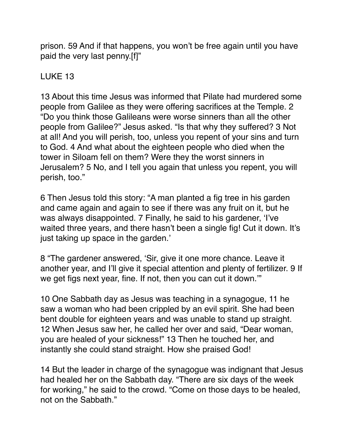prison. 59 And if that happens, you won't be free again until you have paid the very last penny.[f]"

# LUKE 13

13 About this time Jesus was informed that Pilate had murdered some people from Galilee as they were offering sacrifices at the Temple. 2 "Do you think those Galileans were worse sinners than all the other people from Galilee?" Jesus asked. "Is that why they suffered? 3 Not at all! And you will perish, too, unless you repent of your sins and turn to God. 4 And what about the eighteen people who died when the tower in Siloam fell on them? Were they the worst sinners in Jerusalem? 5 No, and I tell you again that unless you repent, you will perish, too."

6 Then Jesus told this story: "A man planted a fig tree in his garden and came again and again to see if there was any fruit on it, but he was always disappointed. 7 Finally, he said to his gardener, 'I've waited three years, and there hasn't been a single fig! Cut it down. It's just taking up space in the garden.'

8 "The gardener answered, 'Sir, give it one more chance. Leave it another year, and I'll give it special attention and plenty of fertilizer. 9 If we get figs next year, fine. If not, then you can cut it down.'"

10 One Sabbath day as Jesus was teaching in a synagogue, 11 he saw a woman who had been crippled by an evil spirit. She had been bent double for eighteen years and was unable to stand up straight. 12 When Jesus saw her, he called her over and said, "Dear woman, you are healed of your sickness!" 13 Then he touched her, and instantly she could stand straight. How she praised God!

14 But the leader in charge of the synagogue was indignant that Jesus had healed her on the Sabbath day. "There are six days of the week for working," he said to the crowd. "Come on those days to be healed, not on the Sabbath."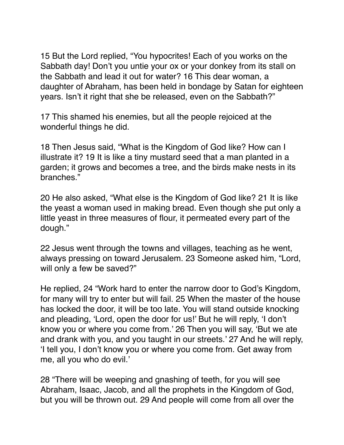15 But the Lord replied, "You hypocrites! Each of you works on the Sabbath day! Don't you untie your ox or your donkey from its stall on the Sabbath and lead it out for water? 16 This dear woman, a daughter of Abraham, has been held in bondage by Satan for eighteen years. Isn't it right that she be released, even on the Sabbath?"

17 This shamed his enemies, but all the people rejoiced at the wonderful things he did.

18 Then Jesus said, "What is the Kingdom of God like? How can I illustrate it? 19 It is like a tiny mustard seed that a man planted in a garden; it grows and becomes a tree, and the birds make nests in its branches."

20 He also asked, "What else is the Kingdom of God like? 21 It is like the yeast a woman used in making bread. Even though she put only a little yeast in three measures of flour, it permeated every part of the dough."

22 Jesus went through the towns and villages, teaching as he went, always pressing on toward Jerusalem. 23 Someone asked him, "Lord, will only a few be saved?"

He replied, 24 "Work hard to enter the narrow door to God's Kingdom, for many will try to enter but will fail. 25 When the master of the house has locked the door, it will be too late. You will stand outside knocking and pleading, 'Lord, open the door for us!' But he will reply, 'I don't know you or where you come from.' 26 Then you will say, 'But we ate and drank with you, and you taught in our streets.' 27 And he will reply, 'I tell you, I don't know you or where you come from. Get away from me, all you who do evil.'

28 "There will be weeping and gnashing of teeth, for you will see Abraham, Isaac, Jacob, and all the prophets in the Kingdom of God, but you will be thrown out. 29 And people will come from all over the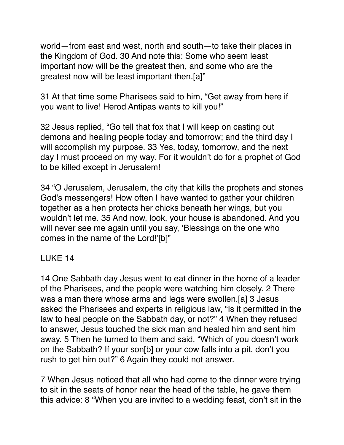world—from east and west, north and south—to take their places in the Kingdom of God. 30 And note this: Some who seem least important now will be the greatest then, and some who are the greatest now will be least important then.[a]"

31 At that time some Pharisees said to him, "Get away from here if you want to live! Herod Antipas wants to kill you!"

32 Jesus replied, "Go tell that fox that I will keep on casting out demons and healing people today and tomorrow; and the third day I will accomplish my purpose. 33 Yes, today, tomorrow, and the next day I must proceed on my way. For it wouldn't do for a prophet of God to be killed except in Jerusalem!

34 "O Jerusalem, Jerusalem, the city that kills the prophets and stones God's messengers! How often I have wanted to gather your children together as a hen protects her chicks beneath her wings, but you wouldn't let me. 35 And now, look, your house is abandoned. And you will never see me again until you say, 'Blessings on the one who comes in the name of the Lord!'[b]"

## LUKE 14

14 One Sabbath day Jesus went to eat dinner in the home of a leader of the Pharisees, and the people were watching him closely. 2 There was a man there whose arms and legs were swollen.[a] 3 Jesus asked the Pharisees and experts in religious law, "Is it permitted in the law to heal people on the Sabbath day, or not?" 4 When they refused to answer, Jesus touched the sick man and healed him and sent him away. 5 Then he turned to them and said, "Which of you doesn't work on the Sabbath? If your son[b] or your cow falls into a pit, don't you rush to get him out?" 6 Again they could not answer.

7 When Jesus noticed that all who had come to the dinner were trying to sit in the seats of honor near the head of the table, he gave them this advice: 8 "When you are invited to a wedding feast, don't sit in the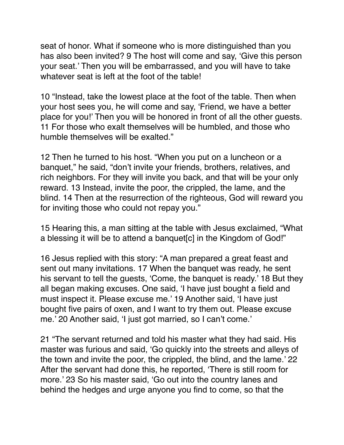seat of honor. What if someone who is more distinguished than you has also been invited? 9 The host will come and say, 'Give this person your seat.' Then you will be embarrassed, and you will have to take whatever seat is left at the foot of the table!

10 "Instead, take the lowest place at the foot of the table. Then when your host sees you, he will come and say, 'Friend, we have a better place for you!' Then you will be honored in front of all the other guests. 11 For those who exalt themselves will be humbled, and those who humble themselves will be exalted."

12 Then he turned to his host. "When you put on a luncheon or a banquet," he said, "don't invite your friends, brothers, relatives, and rich neighbors. For they will invite you back, and that will be your only reward. 13 Instead, invite the poor, the crippled, the lame, and the blind. 14 Then at the resurrection of the righteous, God will reward you for inviting those who could not repay you."

15 Hearing this, a man sitting at the table with Jesus exclaimed, "What a blessing it will be to attend a banquet [c] in the Kingdom of God!"

16 Jesus replied with this story: "A man prepared a great feast and sent out many invitations. 17 When the banquet was ready, he sent his servant to tell the guests, 'Come, the banquet is ready.' 18 But they all began making excuses. One said, 'I have just bought a field and must inspect it. Please excuse me.' 19 Another said, 'I have just bought five pairs of oxen, and I want to try them out. Please excuse me.' 20 Another said, 'I just got married, so I can't come.'

21 "The servant returned and told his master what they had said. His master was furious and said, 'Go quickly into the streets and alleys of the town and invite the poor, the crippled, the blind, and the lame.' 22 After the servant had done this, he reported, 'There is still room for more.' 23 So his master said, 'Go out into the country lanes and behind the hedges and urge anyone you find to come, so that the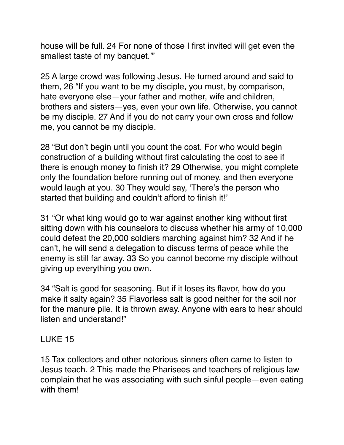house will be full. 24 For none of those I first invited will get even the smallest taste of my banquet.'"

25 A large crowd was following Jesus. He turned around and said to them, 26 "If you want to be my disciple, you must, by comparison, hate everyone else—your father and mother, wife and children, brothers and sisters—yes, even your own life. Otherwise, you cannot be my disciple. 27 And if you do not carry your own cross and follow me, you cannot be my disciple.

28 "But don't begin until you count the cost. For who would begin construction of a building without first calculating the cost to see if there is enough money to finish it? 29 Otherwise, you might complete only the foundation before running out of money, and then everyone would laugh at you. 30 They would say, 'There's the person who started that building and couldn't afford to finish it!'

31 "Or what king would go to war against another king without first sitting down with his counselors to discuss whether his army of 10,000 could defeat the 20,000 soldiers marching against him? 32 And if he can't, he will send a delegation to discuss terms of peace while the enemy is still far away. 33 So you cannot become my disciple without giving up everything you own.

34 "Salt is good for seasoning. But if it loses its flavor, how do you make it salty again? 35 Flavorless salt is good neither for the soil nor for the manure pile. It is thrown away. Anyone with ears to hear should listen and understand!"

## LUKE 15

15 Tax collectors and other notorious sinners often came to listen to Jesus teach. 2 This made the Pharisees and teachers of religious law complain that he was associating with such sinful people—even eating with them!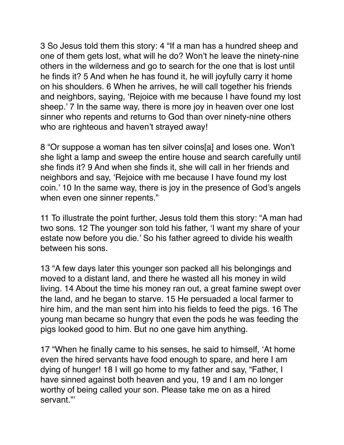3 So Jesus told them this story: 4 "If a man has a hundred sheep and one of them gets lost, what will he do? Won't he leave the ninety-nine others in the wilderness and go to search for the one that is lost until he finds it? 5 And when he has found it, he will joyfully carry it home on his shoulders. 6 When he arrives, he will call together his friends and neighbors, saying, 'Rejoice with me because I have found my lost sheep.' 7 In the same way, there is more joy in heaven over one lost sinner who repents and returns to God than over ninety-nine others who are righteous and haven't strayed away!

8 "Or suppose a woman has ten silver coins[a] and loses one. Won't she light a lamp and sweep the entire house and search carefully until she finds it? 9 And when she finds it, she will call in her friends and neighbors and say, 'Rejoice with me because I have found my lost coin.' 10 In the same way, there is joy in the presence of God's angels when even one sinner repents."

11 To illustrate the point further, Jesus told them this story: "A man had two sons. 12 The younger son told his father, 'I want my share of your estate now before you die.' So his father agreed to divide his wealth between his sons.

13 "A few days later this younger son packed all his belongings and moved to a distant land, and there he wasted all his money in wild living. 14 About the time his money ran out, a great famine swept over the land, and he began to starve. 15 He persuaded a local farmer to hire him, and the man sent him into his fields to feed the pigs. 16 The young man became so hungry that even the pods he was feeding the pigs looked good to him. But no one gave him anything.

17 "When he finally came to his senses, he said to himself, 'At home even the hired servants have food enough to spare, and here I am dying of hunger! 18 I will go home to my father and say, "Father, I have sinned against both heaven and you, 19 and I am no longer worthy of being called your son. Please take me on as a hired servant."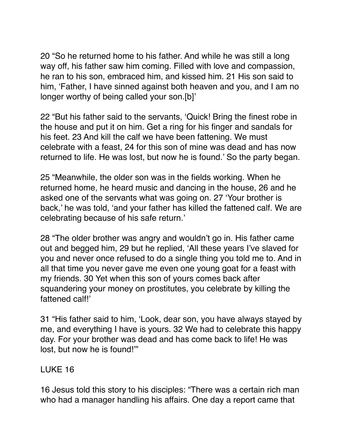20 "So he returned home to his father. And while he was still a long way off, his father saw him coming. Filled with love and compassion, he ran to his son, embraced him, and kissed him. 21 His son said to him, 'Father, I have sinned against both heaven and you, and I am no longer worthy of being called your son.[b]'

22 "But his father said to the servants, 'Quick! Bring the finest robe in the house and put it on him. Get a ring for his finger and sandals for his feet. 23 And kill the calf we have been fattening. We must celebrate with a feast, 24 for this son of mine was dead and has now returned to life. He was lost, but now he is found.' So the party began.

25 "Meanwhile, the older son was in the fields working. When he returned home, he heard music and dancing in the house, 26 and he asked one of the servants what was going on. 27 'Your brother is back,' he was told, 'and your father has killed the fattened calf. We are celebrating because of his safe return.'

28 "The older brother was angry and wouldn't go in. His father came out and begged him, 29 but he replied, 'All these years I've slaved for you and never once refused to do a single thing you told me to. And in all that time you never gave me even one young goat for a feast with my friends. 30 Yet when this son of yours comes back after squandering your money on prostitutes, you celebrate by killing the fattened calf!'

31 "His father said to him, 'Look, dear son, you have always stayed by me, and everything I have is yours. 32 We had to celebrate this happy day. For your brother was dead and has come back to life! He was lost, but now he is found!'"

## LUKE 16

16 Jesus told this story to his disciples: "There was a certain rich man who had a manager handling his affairs. One day a report came that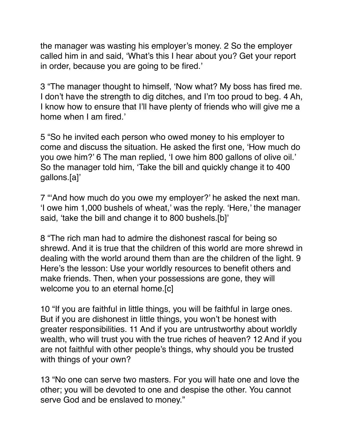the manager was wasting his employer's money. 2 So the employer called him in and said, 'What's this I hear about you? Get your report in order, because you are going to be fired.'

3 "The manager thought to himself, 'Now what? My boss has fired me. I don't have the strength to dig ditches, and I'm too proud to beg. 4 Ah, I know how to ensure that I'll have plenty of friends who will give me a home when I am fired.'

5 "So he invited each person who owed money to his employer to come and discuss the situation. He asked the first one, 'How much do you owe him?' 6 The man replied, 'I owe him 800 gallons of olive oil.' So the manager told him, 'Take the bill and quickly change it to 400 gallons.[a]'

7 "'And how much do you owe my employer?' he asked the next man. 'I owe him 1,000 bushels of wheat,' was the reply. 'Here,' the manager said, 'take the bill and change it to 800 bushels.[b]'

8 "The rich man had to admire the dishonest rascal for being so shrewd. And it is true that the children of this world are more shrewd in dealing with the world around them than are the children of the light. 9 Here's the lesson: Use your worldly resources to benefit others and make friends. Then, when your possessions are gone, they will welcome you to an eternal home.[c]

10 "If you are faithful in little things, you will be faithful in large ones. But if you are dishonest in little things, you won't be honest with greater responsibilities. 11 And if you are untrustworthy about worldly wealth, who will trust you with the true riches of heaven? 12 And if you are not faithful with other people's things, why should you be trusted with things of your own?

13 "No one can serve two masters. For you will hate one and love the other; you will be devoted to one and despise the other. You cannot serve God and be enslaved to money."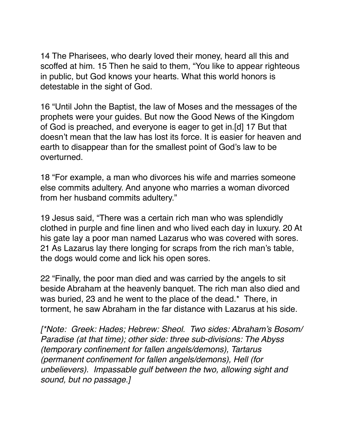14 The Pharisees, who dearly loved their money, heard all this and scoffed at him. 15 Then he said to them, "You like to appear righteous in public, but God knows your hearts. What this world honors is detestable in the sight of God.

16 "Until John the Baptist, the law of Moses and the messages of the prophets were your guides. But now the Good News of the Kingdom of God is preached, and everyone is eager to get in.[d] 17 But that doesn't mean that the law has lost its force. It is easier for heaven and earth to disappear than for the smallest point of God's law to be overturned.

18 "For example, a man who divorces his wife and marries someone else commits adultery. And anyone who marries a woman divorced from her husband commits adultery."

19 Jesus said, "There was a certain rich man who was splendidly clothed in purple and fine linen and who lived each day in luxury. 20 At his gate lay a poor man named Lazarus who was covered with sores. 21 As Lazarus lay there longing for scraps from the rich man's table, the dogs would come and lick his open sores.

22 "Finally, the poor man died and was carried by the angels to sit beside Abraham at the heavenly banquet. The rich man also died and was buried, 23 and he went to the place of the dead.\* There, in torment, he saw Abraham in the far distance with Lazarus at his side.

*[\*Note: Greek: Hades; Hebrew: Sheol. Two sides: Abraham's Bosom/ Paradise (at that time); other side: three sub-divisions: The Abyss (temporary confinement for fallen angels/demons), Tartarus (permanent confinement for fallen angels/demons), Hell (for unbelievers). Impassable gulf between the two, allowing sight and sound, but no passage.]*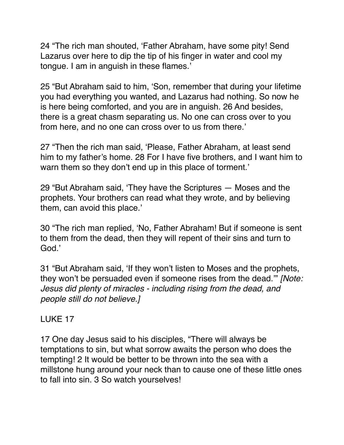24 "The rich man shouted, 'Father Abraham, have some pity! Send Lazarus over here to dip the tip of his finger in water and cool my tongue. I am in anguish in these flames.'

25 "But Abraham said to him, 'Son, remember that during your lifetime you had everything you wanted, and Lazarus had nothing. So now he is here being comforted, and you are in anguish. 26 And besides, there is a great chasm separating us. No one can cross over to you from here, and no one can cross over to us from there.'

27 "Then the rich man said, 'Please, Father Abraham, at least send him to my father's home. 28 For I have five brothers, and I want him to warn them so they don't end up in this place of torment.'

29 "But Abraham said, 'They have the Scriptures — Moses and the prophets. Your brothers can read what they wrote, and by believing them, can avoid this place.'

30 "The rich man replied, 'No, Father Abraham! But if someone is sent to them from the dead, then they will repent of their sins and turn to God.'

31 "But Abraham said, 'If they won't listen to Moses and the prophets, they won't be persuaded even if someone rises from the dead.'" *[Note: Jesus did plenty of miracles - including rising from the dead, and people still do not believe.]*

## LUKE 17

17 One day Jesus said to his disciples, "There will always be temptations to sin, but what sorrow awaits the person who does the tempting! 2 It would be better to be thrown into the sea with a millstone hung around your neck than to cause one of these little ones to fall into sin. 3 So watch yourselves!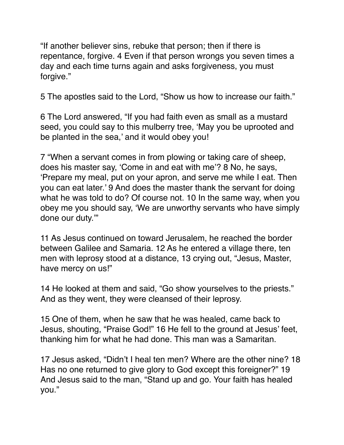"If another believer sins, rebuke that person; then if there is repentance, forgive. 4 Even if that person wrongs you seven times a day and each time turns again and asks forgiveness, you must forgive."

5 The apostles said to the Lord, "Show us how to increase our faith."

6 The Lord answered, "If you had faith even as small as a mustard seed, you could say to this mulberry tree, 'May you be uprooted and be planted in the sea,' and it would obey you!

7 "When a servant comes in from plowing or taking care of sheep, does his master say, 'Come in and eat with me'? 8 No, he says, 'Prepare my meal, put on your apron, and serve me while I eat. Then you can eat later.' 9 And does the master thank the servant for doing what he was told to do? Of course not. 10 In the same way, when you obey me you should say, 'We are unworthy servants who have simply done our duty.'"

11 As Jesus continued on toward Jerusalem, he reached the border between Galilee and Samaria. 12 As he entered a village there, ten men with leprosy stood at a distance, 13 crying out, "Jesus, Master, have mercy on us!"

14 He looked at them and said, "Go show yourselves to the priests." And as they went, they were cleansed of their leprosy.

15 One of them, when he saw that he was healed, came back to Jesus, shouting, "Praise God!" 16 He fell to the ground at Jesus' feet, thanking him for what he had done. This man was a Samaritan.

17 Jesus asked, "Didn't I heal ten men? Where are the other nine? 18 Has no one returned to give glory to God except this foreigner?" 19 And Jesus said to the man, "Stand up and go. Your faith has healed you."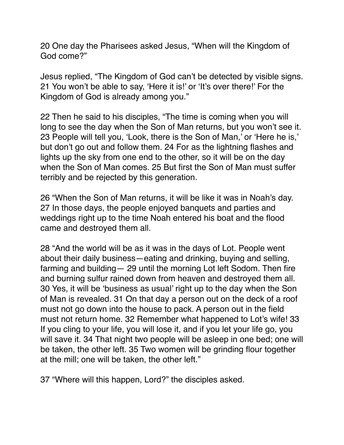20 One day the Pharisees asked Jesus, "When will the Kingdom of God come?"

Jesus replied, "The Kingdom of God can't be detected by visible signs. 21 You won't be able to say, 'Here it is!' or 'It's over there!' For the Kingdom of God is already among you."

22 Then he said to his disciples, "The time is coming when you will long to see the day when the Son of Man returns, but you won't see it. 23 People will tell you, 'Look, there is the Son of Man,' or 'Here he is,' but don't go out and follow them. 24 For as the lightning flashes and lights up the sky from one end to the other, so it will be on the day when the Son of Man comes. 25 But first the Son of Man must suffer terribly and be rejected by this generation.

26 "When the Son of Man returns, it will be like it was in Noah's day. 27 In those days, the people enjoyed banquets and parties and weddings right up to the time Noah entered his boat and the flood came and destroyed them all.

28 "And the world will be as it was in the days of Lot. People went about their daily business—eating and drinking, buying and selling, farming and building— 29 until the morning Lot left Sodom. Then fire and burning sulfur rained down from heaven and destroyed them all. 30 Yes, it will be 'business as usual' right up to the day when the Son of Man is revealed. 31 On that day a person out on the deck of a roof must not go down into the house to pack. A person out in the field must not return home. 32 Remember what happened to Lot's wife! 33 If you cling to your life, you will lose it, and if you let your life go, you will save it. 34 That night two people will be asleep in one bed; one will be taken, the other left. 35 Two women will be grinding flour together at the mill; one will be taken, the other left."

37 "Where will this happen, Lord?" the disciples asked.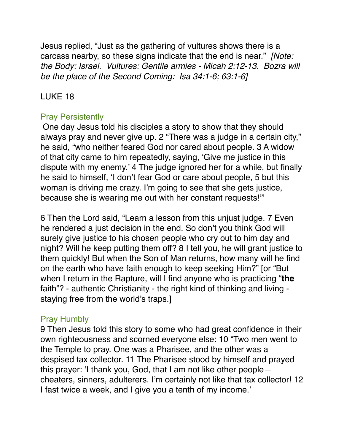Jesus replied, "Just as the gathering of vultures shows there is a carcass nearby, so these signs indicate that the end is near." *[Note: the Body: Israel. Vultures: Gentile armies - Micah 2:12-13. Bozra will be the place of the Second Coming: Isa 34:1-6; 63:1-6]*

## LUKE 18

## Pray Persistently

 One day Jesus told his disciples a story to show that they should always pray and never give up. 2 "There was a judge in a certain city," he said, "who neither feared God nor cared about people. 3 A widow of that city came to him repeatedly, saying, 'Give me justice in this dispute with my enemy.' 4 The judge ignored her for a while, but finally he said to himself, 'I don't fear God or care about people, 5 but this woman is driving me crazy. I'm going to see that she gets justice, because she is wearing me out with her constant requests!'"

6 Then the Lord said, "Learn a lesson from this unjust judge. 7 Even he rendered a just decision in the end. So don't you think God will surely give justice to his chosen people who cry out to him day and night? Will he keep putting them off? 8 I tell you, he will grant justice to them quickly! But when the Son of Man returns, how many will he find on the earth who have faith enough to keep seeking Him?" [or "But when I return in the Rapture, will I find anyone who is practicing "**the** faith"? - authentic Christianity - the right kind of thinking and living staying free from the world's traps.]

## Pray Humbly

9 Then Jesus told this story to some who had great confidence in their own righteousness and scorned everyone else: 10 "Two men went to the Temple to pray. One was a Pharisee, and the other was a despised tax collector. 11 The Pharisee stood by himself and prayed this prayer: 'I thank you, God, that I am not like other people cheaters, sinners, adulterers. I'm certainly not like that tax collector! 12 I fast twice a week, and I give you a tenth of my income.'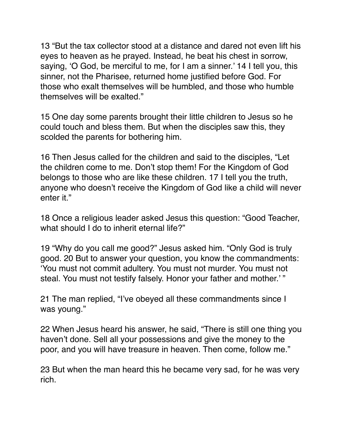13 "But the tax collector stood at a distance and dared not even lift his eyes to heaven as he prayed. Instead, he beat his chest in sorrow, saying, 'O God, be merciful to me, for I am a sinner.' 14 I tell you, this sinner, not the Pharisee, returned home justified before God. For those who exalt themselves will be humbled, and those who humble themselves will be exalted."

15 One day some parents brought their little children to Jesus so he could touch and bless them. But when the disciples saw this, they scolded the parents for bothering him.

16 Then Jesus called for the children and said to the disciples, "Let the children come to me. Don't stop them! For the Kingdom of God belongs to those who are like these children. 17 I tell you the truth, anyone who doesn't receive the Kingdom of God like a child will never enter it."

18 Once a religious leader asked Jesus this question: "Good Teacher, what should I do to inherit eternal life?"

19 "Why do you call me good?" Jesus asked him. "Only God is truly good. 20 But to answer your question, you know the commandments: 'You must not commit adultery. You must not murder. You must not steal. You must not testify falsely. Honor your father and mother.' "

21 The man replied, "I've obeyed all these commandments since I was young."

22 When Jesus heard his answer, he said, "There is still one thing you haven't done. Sell all your possessions and give the money to the poor, and you will have treasure in heaven. Then come, follow me."

23 But when the man heard this he became very sad, for he was very rich.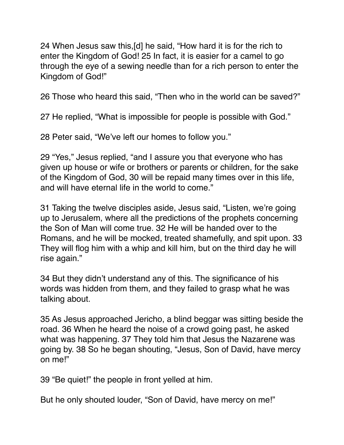24 When Jesus saw this,[d] he said, "How hard it is for the rich to enter the Kingdom of God! 25 In fact, it is easier for a camel to go through the eye of a sewing needle than for a rich person to enter the Kingdom of God!"

26 Those who heard this said, "Then who in the world can be saved?"

27 He replied, "What is impossible for people is possible with God."

28 Peter said, "We've left our homes to follow you."

29 "Yes," Jesus replied, "and I assure you that everyone who has given up house or wife or brothers or parents or children, for the sake of the Kingdom of God, 30 will be repaid many times over in this life, and will have eternal life in the world to come."

31 Taking the twelve disciples aside, Jesus said, "Listen, we're going up to Jerusalem, where all the predictions of the prophets concerning the Son of Man will come true. 32 He will be handed over to the Romans, and he will be mocked, treated shamefully, and spit upon. 33 They will flog him with a whip and kill him, but on the third day he will rise again."

34 But they didn't understand any of this. The significance of his words was hidden from them, and they failed to grasp what he was talking about.

35 As Jesus approached Jericho, a blind beggar was sitting beside the road. 36 When he heard the noise of a crowd going past, he asked what was happening. 37 They told him that Jesus the Nazarene was going by. 38 So he began shouting, "Jesus, Son of David, have mercy on me!"

39 "Be quiet!" the people in front yelled at him.

But he only shouted louder, "Son of David, have mercy on me!"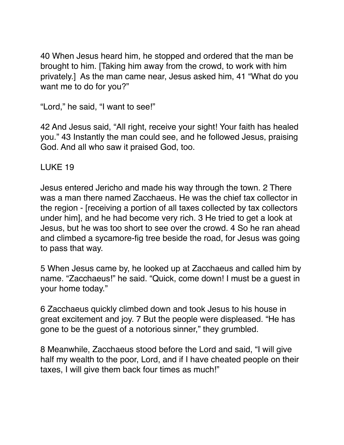40 When Jesus heard him, he stopped and ordered that the man be brought to him. [Taking him away from the crowd, to work with him privately.] As the man came near, Jesus asked him, 41 "What do you want me to do for you?"

"Lord," he said, "I want to see!"

42 And Jesus said, "All right, receive your sight! Your faith has healed you." 43 Instantly the man could see, and he followed Jesus, praising God. And all who saw it praised God, too.

LUKE 19

Jesus entered Jericho and made his way through the town. 2 There was a man there named Zacchaeus. He was the chief tax collector in the region - [receiving a portion of all taxes collected by tax collectors under him], and he had become very rich. 3 He tried to get a look at Jesus, but he was too short to see over the crowd. 4 So he ran ahead and climbed a sycamore-fig tree beside the road, for Jesus was going to pass that way.

5 When Jesus came by, he looked up at Zacchaeus and called him by name. "Zacchaeus!" he said. "Quick, come down! I must be a guest in your home today."

6 Zacchaeus quickly climbed down and took Jesus to his house in great excitement and joy. 7 But the people were displeased. "He has gone to be the guest of a notorious sinner," they grumbled.

8 Meanwhile, Zacchaeus stood before the Lord and said, "I will give half my wealth to the poor, Lord, and if I have cheated people on their taxes, I will give them back four times as much!"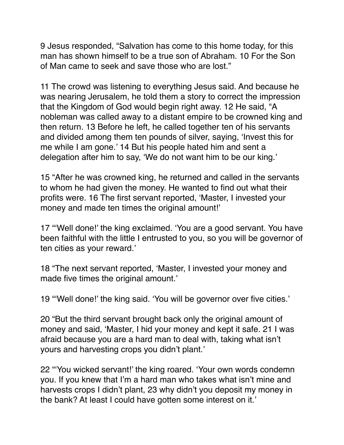9 Jesus responded, "Salvation has come to this home today, for this man has shown himself to be a true son of Abraham. 10 For the Son of Man came to seek and save those who are lost."

11 The crowd was listening to everything Jesus said. And because he was nearing Jerusalem, he told them a story to correct the impression that the Kingdom of God would begin right away. 12 He said, "A nobleman was called away to a distant empire to be crowned king and then return. 13 Before he left, he called together ten of his servants and divided among them ten pounds of silver, saying, 'Invest this for me while I am gone.' 14 But his people hated him and sent a delegation after him to say, 'We do not want him to be our king.'

15 "After he was crowned king, he returned and called in the servants to whom he had given the money. He wanted to find out what their profits were. 16 The first servant reported, 'Master, I invested your money and made ten times the original amount!'

17 "'Well done!' the king exclaimed. 'You are a good servant. You have been faithful with the little I entrusted to you, so you will be governor of ten cities as your reward.'

18 "The next servant reported, 'Master, I invested your money and made five times the original amount.'

19 "'Well done!' the king said. 'You will be governor over five cities.'

20 "But the third servant brought back only the original amount of money and said, 'Master, I hid your money and kept it safe. 21 I was afraid because you are a hard man to deal with, taking what isn't yours and harvesting crops you didn't plant.'

22 "'You wicked servant!' the king roared. 'Your own words condemn you. If you knew that I'm a hard man who takes what isn't mine and harvests crops I didn't plant, 23 why didn't you deposit my money in the bank? At least I could have gotten some interest on it.'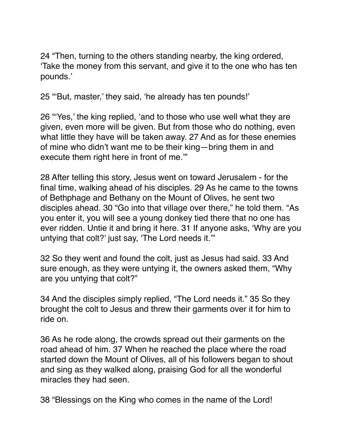24 "Then, turning to the others standing nearby, the king ordered, 'Take the money from this servant, and give it to the one who has ten pounds.'

25 "'But, master,' they said, 'he already has ten pounds!'

26 "'Yes,' the king replied, 'and to those who use well what they are given, even more will be given. But from those who do nothing, even what little they have will be taken away. 27 And as for these enemies of mine who didn't want me to be their king—bring them in and execute them right here in front of me.'"

28 After telling this story, Jesus went on toward Jerusalem - for the final time, walking ahead of his disciples. 29 As he came to the towns of Bethphage and Bethany on the Mount of Olives, he sent two disciples ahead. 30 "Go into that village over there," he told them. "As you enter it, you will see a young donkey tied there that no one has ever ridden. Untie it and bring it here. 31 If anyone asks, 'Why are you untying that colt?' just say, 'The Lord needs it.'"

32 So they went and found the colt, just as Jesus had said. 33 And sure enough, as they were untying it, the owners asked them, "Why are you untying that colt?"

34 And the disciples simply replied, "The Lord needs it." 35 So they brought the colt to Jesus and threw their garments over it for him to ride on.

36 As he rode along, the crowds spread out their garments on the road ahead of him. 37 When he reached the place where the road started down the Mount of Olives, all of his followers began to shout and sing as they walked along, praising God for all the wonderful miracles they had seen.

38 "Blessings on the King who comes in the name of the Lord!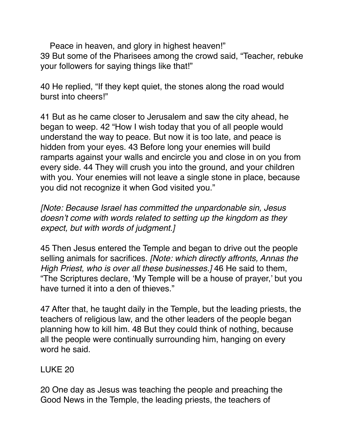Peace in heaven, and glory in highest heaven!" 39 But some of the Pharisees among the crowd said, "Teacher, rebuke your followers for saying things like that!"

40 He replied, "If they kept quiet, the stones along the road would burst into cheers!"

41 But as he came closer to Jerusalem and saw the city ahead, he began to weep. 42 "How I wish today that you of all people would understand the way to peace. But now it is too late, and peace is hidden from your eyes. 43 Before long your enemies will build ramparts against your walls and encircle you and close in on you from every side. 44 They will crush you into the ground, and your children with you. Your enemies will not leave a single stone in place, because you did not recognize it when God visited you."

*[Note: Because Israel has committed the unpardonable sin, Jesus doesn't come with words related to setting up the kingdom as they expect, but with words of judgment.]*

45 Then Jesus entered the Temple and began to drive out the people selling animals for sacrifices. *[Note: which directly affronts, Annas the High Priest, who is over all these businesses.]* 46 He said to them, "The Scriptures declare, 'My Temple will be a house of prayer,' but you have turned it into a den of thieves."

47 After that, he taught daily in the Temple, but the leading priests, the teachers of religious law, and the other leaders of the people began planning how to kill him. 48 But they could think of nothing, because all the people were continually surrounding him, hanging on every word he said.

#### LUKE 20

20 One day as Jesus was teaching the people and preaching the Good News in the Temple, the leading priests, the teachers of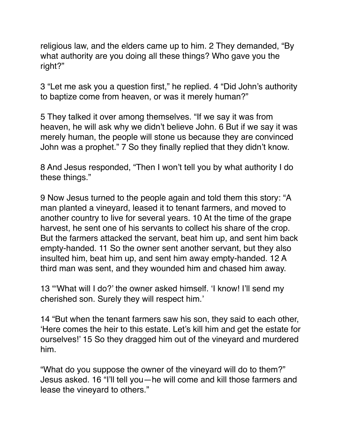religious law, and the elders came up to him. 2 They demanded, "By what authority are you doing all these things? Who gave you the right?"

3 "Let me ask you a question first," he replied. 4 "Did John's authority to baptize come from heaven, or was it merely human?"

5 They talked it over among themselves. "If we say it was from heaven, he will ask why we didn't believe John. 6 But if we say it was merely human, the people will stone us because they are convinced John was a prophet." 7 So they finally replied that they didn't know.

8 And Jesus responded, "Then I won't tell you by what authority I do these things."

9 Now Jesus turned to the people again and told them this story: "A man planted a vineyard, leased it to tenant farmers, and moved to another country to live for several years. 10 At the time of the grape harvest, he sent one of his servants to collect his share of the crop. But the farmers attacked the servant, beat him up, and sent him back empty-handed. 11 So the owner sent another servant, but they also insulted him, beat him up, and sent him away empty-handed. 12 A third man was sent, and they wounded him and chased him away.

13 "'What will I do?' the owner asked himself. 'I know! I'll send my cherished son. Surely they will respect him.'

14 "But when the tenant farmers saw his son, they said to each other, 'Here comes the heir to this estate. Let's kill him and get the estate for ourselves!' 15 So they dragged him out of the vineyard and murdered him.

"What do you suppose the owner of the vineyard will do to them?" Jesus asked. 16 "I'll tell you—he will come and kill those farmers and lease the vineyard to others."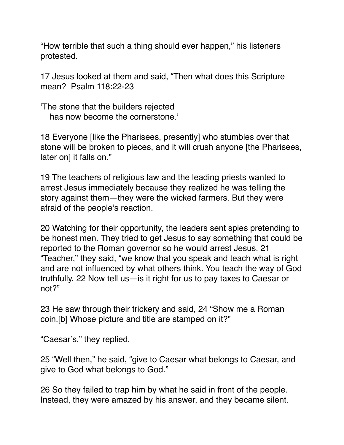"How terrible that such a thing should ever happen," his listeners protested.

17 Jesus looked at them and said, "Then what does this Scripture mean? Psalm 118:22-23

'The stone that the builders rejected has now become the cornerstone.'

18 Everyone [like the Pharisees, presently] who stumbles over that stone will be broken to pieces, and it will crush anyone [the Pharisees, later on] it falls on."

19 The teachers of religious law and the leading priests wanted to arrest Jesus immediately because they realized he was telling the story against them—they were the wicked farmers. But they were afraid of the people's reaction.

20 Watching for their opportunity, the leaders sent spies pretending to be honest men. They tried to get Jesus to say something that could be reported to the Roman governor so he would arrest Jesus. 21 "Teacher," they said, "we know that you speak and teach what is right and are not influenced by what others think. You teach the way of God truthfully. 22 Now tell us—is it right for us to pay taxes to Caesar or not?"

23 He saw through their trickery and said, 24 "Show me a Roman coin.[b] Whose picture and title are stamped on it?"

"Caesar's," they replied.

25 "Well then," he said, "give to Caesar what belongs to Caesar, and give to God what belongs to God."

26 So they failed to trap him by what he said in front of the people. Instead, they were amazed by his answer, and they became silent.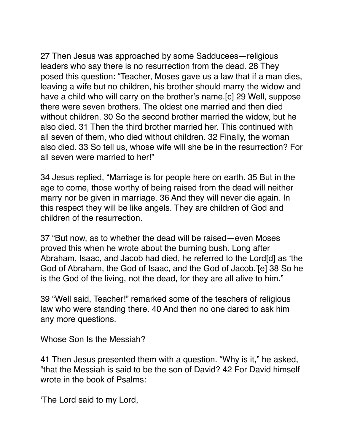27 Then Jesus was approached by some Sadducees—religious leaders who say there is no resurrection from the dead. 28 They posed this question: "Teacher, Moses gave us a law that if a man dies, leaving a wife but no children, his brother should marry the widow and have a child who will carry on the brother's name.[c] 29 Well, suppose there were seven brothers. The oldest one married and then died without children. 30 So the second brother married the widow, but he also died. 31 Then the third brother married her. This continued with all seven of them, who died without children. 32 Finally, the woman also died. 33 So tell us, whose wife will she be in the resurrection? For all seven were married to her!"

34 Jesus replied, "Marriage is for people here on earth. 35 But in the age to come, those worthy of being raised from the dead will neither marry nor be given in marriage. 36 And they will never die again. In this respect they will be like angels. They are children of God and children of the resurrection.

37 "But now, as to whether the dead will be raised—even Moses proved this when he wrote about the burning bush. Long after Abraham, Isaac, and Jacob had died, he referred to the Lord[d] as 'the God of Abraham, the God of Isaac, and the God of Jacob.'[e] 38 So he is the God of the living, not the dead, for they are all alive to him."

39 "Well said, Teacher!" remarked some of the teachers of religious law who were standing there. 40 And then no one dared to ask him any more questions.

Whose Son Is the Messiah?

41 Then Jesus presented them with a question. "Why is it," he asked, "that the Messiah is said to be the son of David? 42 For David himself wrote in the book of Psalms:

'The Lord said to my Lord,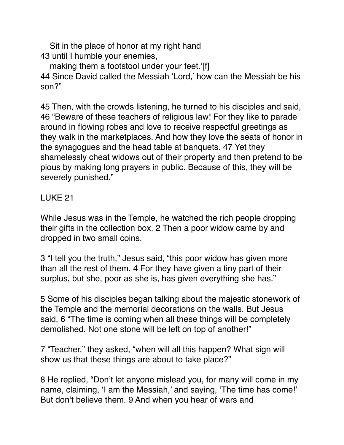Sit in the place of honor at my right hand 43 until I humble your enemies,

making them a footstool under your feet.'[f] 44 Since David called the Messiah 'Lord,' how can the Messiah be his son?"

45 Then, with the crowds listening, he turned to his disciples and said, 46 "Beware of these teachers of religious law! For they like to parade around in flowing robes and love to receive respectful greetings as they walk in the marketplaces. And how they love the seats of honor in the synagogues and the head table at banquets. 47 Yet they shamelessly cheat widows out of their property and then pretend to be pious by making long prayers in public. Because of this, they will be severely punished."

# LUKE 21

While Jesus was in the Temple, he watched the rich people dropping their gifts in the collection box. 2 Then a poor widow came by and dropped in two small coins.

3 "I tell you the truth," Jesus said, "this poor widow has given more than all the rest of them. 4 For they have given a tiny part of their surplus, but she, poor as she is, has given everything she has."

5 Some of his disciples began talking about the majestic stonework of the Temple and the memorial decorations on the walls. But Jesus said, 6 "The time is coming when all these things will be completely demolished. Not one stone will be left on top of another!"

7 "Teacher," they asked, "when will all this happen? What sign will show us that these things are about to take place?"

8 He replied, "Don't let anyone mislead you, for many will come in my name, claiming, 'I am the Messiah,' and saying, 'The time has come!' But don't believe them. 9 And when you hear of wars and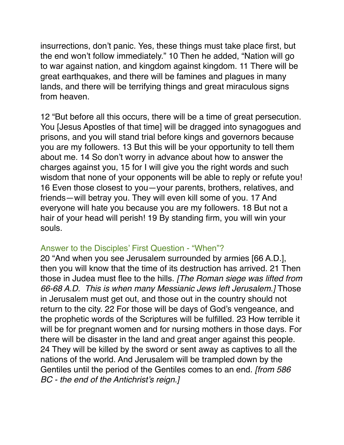insurrections, don't panic. Yes, these things must take place first, but the end won't follow immediately." 10 Then he added, "Nation will go to war against nation, and kingdom against kingdom. 11 There will be great earthquakes, and there will be famines and plagues in many lands, and there will be terrifying things and great miraculous signs from heaven.

12 "But before all this occurs, there will be a time of great persecution. You [Jesus Apostles of that time] will be dragged into synagogues and prisons, and you will stand trial before kings and governors because you are my followers. 13 But this will be your opportunity to tell them about me. 14 So don't worry in advance about how to answer the charges against you, 15 for I will give you the right words and such wisdom that none of your opponents will be able to reply or refute you! 16 Even those closest to you—your parents, brothers, relatives, and friends—will betray you. They will even kill some of you. 17 And everyone will hate you because you are my followers. 18 But not a hair of your head will perish! 19 By standing firm, you will win your souls.

#### Answer to the Disciples' First Question - "When"?

20 "And when you see Jerusalem surrounded by armies [66 A.D.], then you will know that the time of its destruction has arrived. 21 Then those in Judea must flee to the hills. *[The Roman siege was lifted from 66-68 A.D. This is when many Messianic Jews left Jerusalem.]* Those in Jerusalem must get out, and those out in the country should not return to the city. 22 For those will be days of God's vengeance, and the prophetic words of the Scriptures will be fulfilled. 23 How terrible it will be for pregnant women and for nursing mothers in those days. For there will be disaster in the land and great anger against this people. 24 They will be killed by the sword or sent away as captives to all the nations of the world. And Jerusalem will be trampled down by the Gentiles until the period of the Gentiles comes to an end. *[from 586 BC - the end of the Antichrist's reign.]*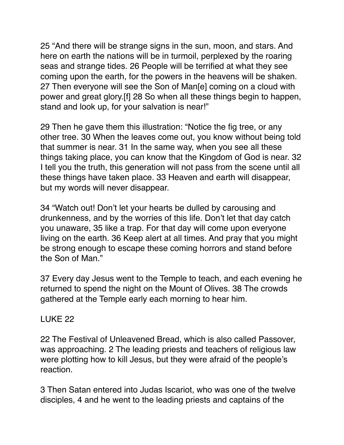25 "And there will be strange signs in the sun, moon, and stars. And here on earth the nations will be in turmoil, perplexed by the roaring seas and strange tides. 26 People will be terrified at what they see coming upon the earth, for the powers in the heavens will be shaken. 27 Then everyone will see the Son of Man[e] coming on a cloud with power and great glory.[f] 28 So when all these things begin to happen, stand and look up, for your salvation is near!"

29 Then he gave them this illustration: "Notice the fig tree, or any other tree. 30 When the leaves come out, you know without being told that summer is near. 31 In the same way, when you see all these things taking place, you can know that the Kingdom of God is near. 32 I tell you the truth, this generation will not pass from the scene until all these things have taken place. 33 Heaven and earth will disappear, but my words will never disappear.

34 "Watch out! Don't let your hearts be dulled by carousing and drunkenness, and by the worries of this life. Don't let that day catch you unaware, 35 like a trap. For that day will come upon everyone living on the earth. 36 Keep alert at all times. And pray that you might be strong enough to escape these coming horrors and stand before the Son of Man."

37 Every day Jesus went to the Temple to teach, and each evening he returned to spend the night on the Mount of Olives. 38 The crowds gathered at the Temple early each morning to hear him.

## LUKE 22

22 The Festival of Unleavened Bread, which is also called Passover, was approaching. 2 The leading priests and teachers of religious law were plotting how to kill Jesus, but they were afraid of the people's reaction.

3 Then Satan entered into Judas Iscariot, who was one of the twelve disciples, 4 and he went to the leading priests and captains of the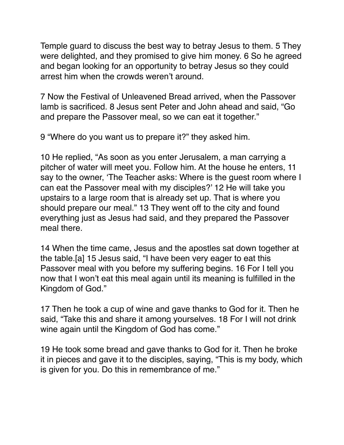Temple guard to discuss the best way to betray Jesus to them. 5 They were delighted, and they promised to give him money. 6 So he agreed and began looking for an opportunity to betray Jesus so they could arrest him when the crowds weren't around.

7 Now the Festival of Unleavened Bread arrived, when the Passover lamb is sacrificed. 8 Jesus sent Peter and John ahead and said, "Go and prepare the Passover meal, so we can eat it together."

9 "Where do you want us to prepare it?" they asked him.

10 He replied, "As soon as you enter Jerusalem, a man carrying a pitcher of water will meet you. Follow him. At the house he enters, 11 say to the owner, 'The Teacher asks: Where is the guest room where I can eat the Passover meal with my disciples?' 12 He will take you upstairs to a large room that is already set up. That is where you should prepare our meal." 13 They went off to the city and found everything just as Jesus had said, and they prepared the Passover meal there.

14 When the time came, Jesus and the apostles sat down together at the table.[a] 15 Jesus said, "I have been very eager to eat this Passover meal with you before my suffering begins. 16 For I tell you now that I won't eat this meal again until its meaning is fulfilled in the Kingdom of God."

17 Then he took a cup of wine and gave thanks to God for it. Then he said, "Take this and share it among yourselves. 18 For I will not drink wine again until the Kingdom of God has come."

19 He took some bread and gave thanks to God for it. Then he broke it in pieces and gave it to the disciples, saying, "This is my body, which is given for you. Do this in remembrance of me."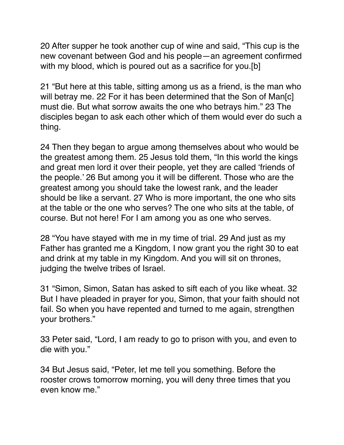20 After supper he took another cup of wine and said, "This cup is the new covenant between God and his people—an agreement confirmed with my blood, which is poured out as a sacrifice for you.[b]

21 "But here at this table, sitting among us as a friend, is the man who will betray me. 22 For it has been determined that the Son of Man[c] must die. But what sorrow awaits the one who betrays him." 23 The disciples began to ask each other which of them would ever do such a thing.

24 Then they began to argue among themselves about who would be the greatest among them. 25 Jesus told them, "In this world the kings and great men lord it over their people, yet they are called 'friends of the people.' 26 But among you it will be different. Those who are the greatest among you should take the lowest rank, and the leader should be like a servant. 27 Who is more important, the one who sits at the table or the one who serves? The one who sits at the table, of course. But not here! For I am among you as one who serves.

28 "You have stayed with me in my time of trial. 29 And just as my Father has granted me a Kingdom, I now grant you the right 30 to eat and drink at my table in my Kingdom. And you will sit on thrones, judging the twelve tribes of Israel.

31 "Simon, Simon, Satan has asked to sift each of you like wheat. 32 But I have pleaded in prayer for you, Simon, that your faith should not fail. So when you have repented and turned to me again, strengthen your brothers."

33 Peter said, "Lord, I am ready to go to prison with you, and even to die with you."

34 But Jesus said, "Peter, let me tell you something. Before the rooster crows tomorrow morning, you will deny three times that you even know me."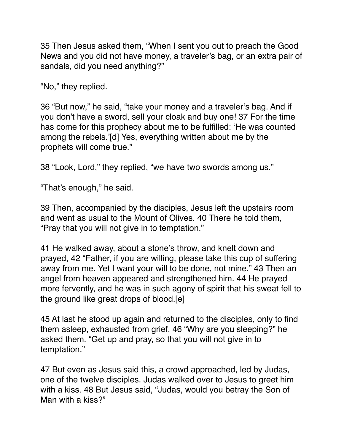35 Then Jesus asked them, "When I sent you out to preach the Good News and you did not have money, a traveler's bag, or an extra pair of sandals, did you need anything?"

"No," they replied.

36 "But now," he said, "take your money and a traveler's bag. And if you don't have a sword, sell your cloak and buy one! 37 For the time has come for this prophecy about me to be fulfilled: 'He was counted among the rebels.'[d] Yes, everything written about me by the prophets will come true."

38 "Look, Lord," they replied, "we have two swords among us."

"That's enough," he said.

39 Then, accompanied by the disciples, Jesus left the upstairs room and went as usual to the Mount of Olives. 40 There he told them, "Pray that you will not give in to temptation."

41 He walked away, about a stone's throw, and knelt down and prayed, 42 "Father, if you are willing, please take this cup of suffering away from me. Yet I want your will to be done, not mine." 43 Then an angel from heaven appeared and strengthened him. 44 He prayed more fervently, and he was in such agony of spirit that his sweat fell to the ground like great drops of blood.[e]

45 At last he stood up again and returned to the disciples, only to find them asleep, exhausted from grief. 46 "Why are you sleeping?" he asked them. "Get up and pray, so that you will not give in to temptation."

47 But even as Jesus said this, a crowd approached, led by Judas, one of the twelve disciples. Judas walked over to Jesus to greet him with a kiss. 48 But Jesus said, "Judas, would you betray the Son of Man with a kiss?"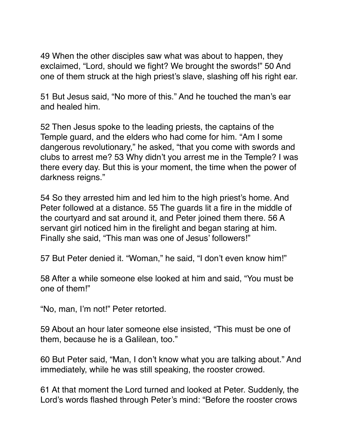49 When the other disciples saw what was about to happen, they exclaimed, "Lord, should we fight? We brought the swords!" 50 And one of them struck at the high priest's slave, slashing off his right ear.

51 But Jesus said, "No more of this." And he touched the man's ear and healed him.

52 Then Jesus spoke to the leading priests, the captains of the Temple guard, and the elders who had come for him. "Am I some dangerous revolutionary," he asked, "that you come with swords and clubs to arrest me? 53 Why didn't you arrest me in the Temple? I was there every day. But this is your moment, the time when the power of darkness reigns."

54 So they arrested him and led him to the high priest's home. And Peter followed at a distance. 55 The guards lit a fire in the middle of the courtyard and sat around it, and Peter joined them there. 56 A servant girl noticed him in the firelight and began staring at him. Finally she said, "This man was one of Jesus' followers!"

57 But Peter denied it. "Woman," he said, "I don't even know him!"

58 After a while someone else looked at him and said, "You must be one of them!"

"No, man, I'm not!" Peter retorted.

59 About an hour later someone else insisted, "This must be one of them, because he is a Galilean, too."

60 But Peter said, "Man, I don't know what you are talking about." And immediately, while he was still speaking, the rooster crowed.

61 At that moment the Lord turned and looked at Peter. Suddenly, the Lord's words flashed through Peter's mind: "Before the rooster crows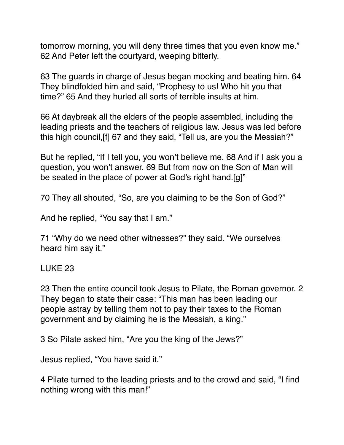tomorrow morning, you will deny three times that you even know me." 62 And Peter left the courtyard, weeping bitterly.

63 The guards in charge of Jesus began mocking and beating him. 64 They blindfolded him and said, "Prophesy to us! Who hit you that time?" 65 And they hurled all sorts of terrible insults at him.

66 At daybreak all the elders of the people assembled, including the leading priests and the teachers of religious law. Jesus was led before this high council,[f] 67 and they said, "Tell us, are you the Messiah?"

But he replied, "If I tell you, you won't believe me. 68 And if I ask you a question, you won't answer. 69 But from now on the Son of Man will be seated in the place of power at God's right hand.[g]"

70 They all shouted, "So, are you claiming to be the Son of God?"

And he replied, "You say that I am."

71 "Why do we need other witnesses?" they said. "We ourselves heard him say it."

LUKE 23

23 Then the entire council took Jesus to Pilate, the Roman governor. 2 They began to state their case: "This man has been leading our people astray by telling them not to pay their taxes to the Roman government and by claiming he is the Messiah, a king."

3 So Pilate asked him, "Are you the king of the Jews?"

Jesus replied, "You have said it."

4 Pilate turned to the leading priests and to the crowd and said, "I find nothing wrong with this man!"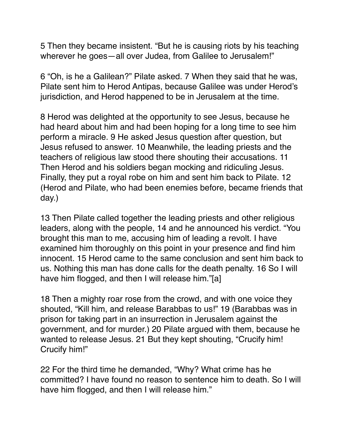5 Then they became insistent. "But he is causing riots by his teaching wherever he goes—all over Judea, from Galilee to Jerusalem!"

6 "Oh, is he a Galilean?" Pilate asked. 7 When they said that he was, Pilate sent him to Herod Antipas, because Galilee was under Herod's jurisdiction, and Herod happened to be in Jerusalem at the time.

8 Herod was delighted at the opportunity to see Jesus, because he had heard about him and had been hoping for a long time to see him perform a miracle. 9 He asked Jesus question after question, but Jesus refused to answer. 10 Meanwhile, the leading priests and the teachers of religious law stood there shouting their accusations. 11 Then Herod and his soldiers began mocking and ridiculing Jesus. Finally, they put a royal robe on him and sent him back to Pilate. 12 (Herod and Pilate, who had been enemies before, became friends that day.)

13 Then Pilate called together the leading priests and other religious leaders, along with the people, 14 and he announced his verdict. "You brought this man to me, accusing him of leading a revolt. I have examined him thoroughly on this point in your presence and find him innocent. 15 Herod came to the same conclusion and sent him back to us. Nothing this man has done calls for the death penalty. 16 So I will have him flogged, and then I will release him."[a]

18 Then a mighty roar rose from the crowd, and with one voice they shouted, "Kill him, and release Barabbas to us!" 19 (Barabbas was in prison for taking part in an insurrection in Jerusalem against the government, and for murder.) 20 Pilate argued with them, because he wanted to release Jesus. 21 But they kept shouting, "Crucify him! Crucify him!"

22 For the third time he demanded, "Why? What crime has he committed? I have found no reason to sentence him to death. So I will have him flogged, and then I will release him."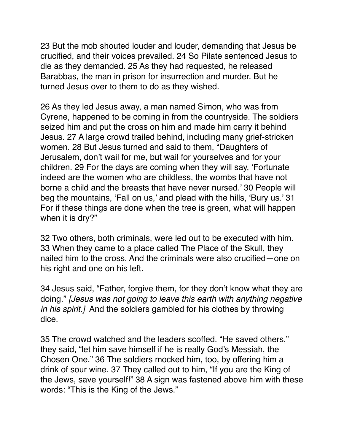23 But the mob shouted louder and louder, demanding that Jesus be crucified, and their voices prevailed. 24 So Pilate sentenced Jesus to die as they demanded. 25 As they had requested, he released Barabbas, the man in prison for insurrection and murder. But he turned Jesus over to them to do as they wished.

26 As they led Jesus away, a man named Simon, who was from Cyrene, happened to be coming in from the countryside. The soldiers seized him and put the cross on him and made him carry it behind Jesus. 27 A large crowd trailed behind, including many grief-stricken women. 28 But Jesus turned and said to them, "Daughters of Jerusalem, don't wail for me, but wail for yourselves and for your children. 29 For the days are coming when they will say, 'Fortunate indeed are the women who are childless, the wombs that have not borne a child and the breasts that have never nursed.' 30 People will beg the mountains, 'Fall on us,' and plead with the hills, 'Bury us.' 31 For if these things are done when the tree is green, what will happen when it is dry?"

32 Two others, both criminals, were led out to be executed with him. 33 When they came to a place called The Place of the Skull, they nailed him to the cross. And the criminals were also crucified—one on his right and one on his left.

34 Jesus said, "Father, forgive them, for they don't know what they are doing." *[Jesus was not going to leave this earth with anything negative in his spirit.]* And the soldiers gambled for his clothes by throwing dice.

35 The crowd watched and the leaders scoffed. "He saved others," they said, "let him save himself if he is really God's Messiah, the Chosen One." 36 The soldiers mocked him, too, by offering him a drink of sour wine. 37 They called out to him, "If you are the King of the Jews, save yourself!" 38 A sign was fastened above him with these words: "This is the King of the Jews."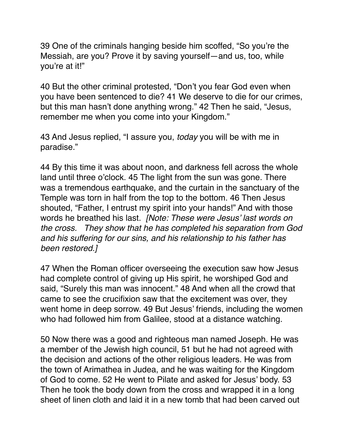39 One of the criminals hanging beside him scoffed, "So you're the Messiah, are you? Prove it by saving yourself—and us, too, while you're at it!"

40 But the other criminal protested, "Don't you fear God even when you have been sentenced to die? 41 We deserve to die for our crimes, but this man hasn't done anything wrong." 42 Then he said, "Jesus, remember me when you come into your Kingdom."

43 And Jesus replied, "I assure you, *today* you will be with me in paradise."

44 By this time it was about noon, and darkness fell across the whole land until three o'clock. 45 The light from the sun was gone. There was a tremendous earthquake, and the curtain in the sanctuary of the Temple was torn in half from the top to the bottom. 46 Then Jesus shouted, "Father, I entrust my spirit into your hands!" And with those words he breathed his last. *[Note: These were Jesus' last words on the cross. They show that he has completed his separation from God and his suffering for our sins, and his relationship to his father has been restored.]*

47 When the Roman officer overseeing the execution saw how Jesus had complete control of giving up His spirit, he worshiped God and said, "Surely this man was innocent." 48 And when all the crowd that came to see the crucifixion saw that the excitement was over, they went home in deep sorrow. 49 But Jesus' friends, including the women who had followed him from Galilee, stood at a distance watching.

50 Now there was a good and righteous man named Joseph. He was a member of the Jewish high council, 51 but he had not agreed with the decision and actions of the other religious leaders. He was from the town of Arimathea in Judea, and he was waiting for the Kingdom of God to come. 52 He went to Pilate and asked for Jesus' body. 53 Then he took the body down from the cross and wrapped it in a long sheet of linen cloth and laid it in a new tomb that had been carved out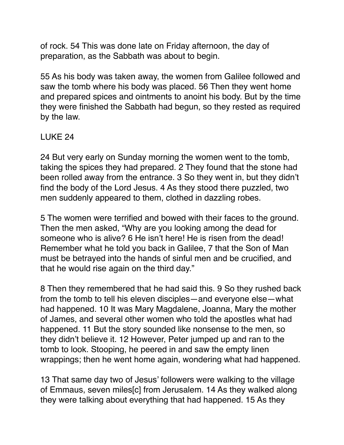of rock. 54 This was done late on Friday afternoon, the day of preparation, as the Sabbath was about to begin.

55 As his body was taken away, the women from Galilee followed and saw the tomb where his body was placed. 56 Then they went home and prepared spices and ointments to anoint his body. But by the time they were finished the Sabbath had begun, so they rested as required by the law.

## LUKE 24

24 But very early on Sunday morning the women went to the tomb, taking the spices they had prepared. 2 They found that the stone had been rolled away from the entrance. 3 So they went in, but they didn't find the body of the Lord Jesus. 4 As they stood there puzzled, two men suddenly appeared to them, clothed in dazzling robes.

5 The women were terrified and bowed with their faces to the ground. Then the men asked, "Why are you looking among the dead for someone who is alive? 6 He isn't here! He is risen from the dead! Remember what he told you back in Galilee, 7 that the Son of Man must be betrayed into the hands of sinful men and be crucified, and that he would rise again on the third day."

8 Then they remembered that he had said this. 9 So they rushed back from the tomb to tell his eleven disciples—and everyone else—what had happened. 10 It was Mary Magdalene, Joanna, Mary the mother of James, and several other women who told the apostles what had happened. 11 But the story sounded like nonsense to the men, so they didn't believe it. 12 However, Peter jumped up and ran to the tomb to look. Stooping, he peered in and saw the empty linen wrappings; then he went home again, wondering what had happened.

13 That same day two of Jesus' followers were walking to the village of Emmaus, seven miles[c] from Jerusalem. 14 As they walked along they were talking about everything that had happened. 15 As they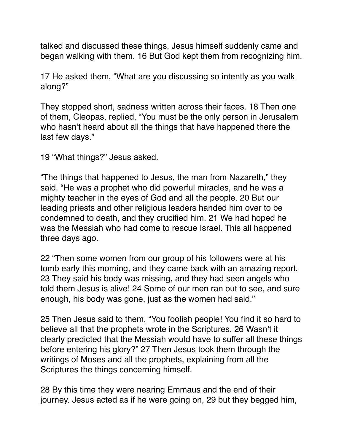talked and discussed these things, Jesus himself suddenly came and began walking with them. 16 But God kept them from recognizing him.

17 He asked them, "What are you discussing so intently as you walk along?"

They stopped short, sadness written across their faces. 18 Then one of them, Cleopas, replied, "You must be the only person in Jerusalem who hasn't heard about all the things that have happened there the last few days."

19 "What things?" Jesus asked.

"The things that happened to Jesus, the man from Nazareth," they said. "He was a prophet who did powerful miracles, and he was a mighty teacher in the eyes of God and all the people. 20 But our leading priests and other religious leaders handed him over to be condemned to death, and they crucified him. 21 We had hoped he was the Messiah who had come to rescue Israel. This all happened three days ago.

22 "Then some women from our group of his followers were at his tomb early this morning, and they came back with an amazing report. 23 They said his body was missing, and they had seen angels who told them Jesus is alive! 24 Some of our men ran out to see, and sure enough, his body was gone, just as the women had said."

25 Then Jesus said to them, "You foolish people! You find it so hard to believe all that the prophets wrote in the Scriptures. 26 Wasn't it clearly predicted that the Messiah would have to suffer all these things before entering his glory?" 27 Then Jesus took them through the writings of Moses and all the prophets, explaining from all the Scriptures the things concerning himself.

28 By this time they were nearing Emmaus and the end of their journey. Jesus acted as if he were going on, 29 but they begged him,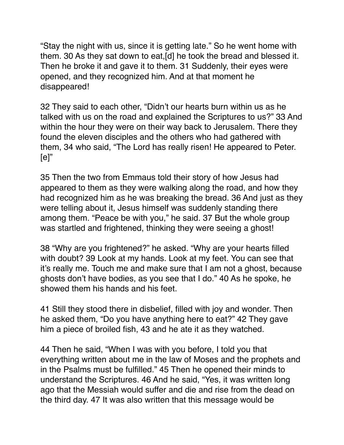"Stay the night with us, since it is getting late." So he went home with them. 30 As they sat down to eat,[d] he took the bread and blessed it. Then he broke it and gave it to them. 31 Suddenly, their eyes were opened, and they recognized him. And at that moment he disappeared!

32 They said to each other, "Didn't our hearts burn within us as he talked with us on the road and explained the Scriptures to us?" 33 And within the hour they were on their way back to Jerusalem. There they found the eleven disciples and the others who had gathered with them, 34 who said, "The Lord has really risen! He appeared to Peter.  $[e]$ "

35 Then the two from Emmaus told their story of how Jesus had appeared to them as they were walking along the road, and how they had recognized him as he was breaking the bread. 36 And just as they were telling about it, Jesus himself was suddenly standing there among them. "Peace be with you," he said. 37 But the whole group was startled and frightened, thinking they were seeing a ghost!

38 "Why are you frightened?" he asked. "Why are your hearts filled with doubt? 39 Look at my hands. Look at my feet. You can see that it's really me. Touch me and make sure that I am not a ghost, because ghosts don't have bodies, as you see that I do." 40 As he spoke, he showed them his hands and his feet.

41 Still they stood there in disbelief, filled with joy and wonder. Then he asked them, "Do you have anything here to eat?" 42 They gave him a piece of broiled fish, 43 and he ate it as they watched.

44 Then he said, "When I was with you before, I told you that everything written about me in the law of Moses and the prophets and in the Psalms must be fulfilled." 45 Then he opened their minds to understand the Scriptures. 46 And he said, "Yes, it was written long ago that the Messiah would suffer and die and rise from the dead on the third day. 47 It was also written that this message would be